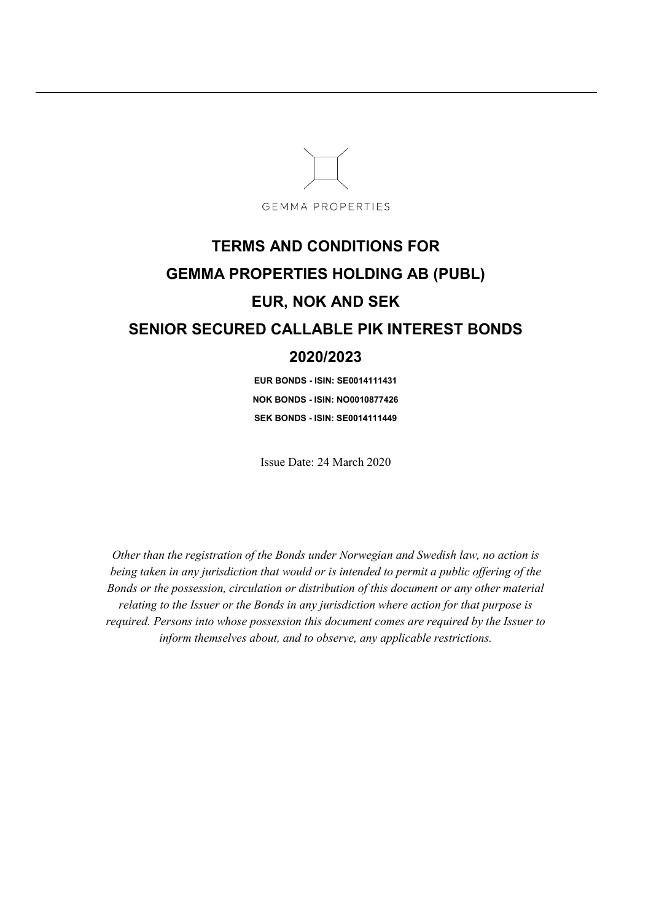

# **TERMS AND CONDITIONS FOR GEMMA PROPERTIES HOLDING AB (PUBL) EUR, NOK AND SEK SENIOR SECURED CALLABLE PIK INTEREST BONDS 2020/2023**

**EUR BONDS - ISIN: SE0014111431 NOK BONDS - ISIN: NO0010877426 SEK BONDS - ISIN: SE0014111449** 

Issue Date: 24 March 2020

*Other than the registration of the Bonds under Norwegian and Swedish law, no action is being taken in any jurisdiction that would or is intended to permit a public offering of the Bonds or the possession, circulation or distribution of this document or any other material relating to the Issuer or the Bonds in any jurisdiction where action for that purpose is required. Persons into whose possession this document comes are required by the Issuer to inform themselves about, and to observe, any applicable restrictions.*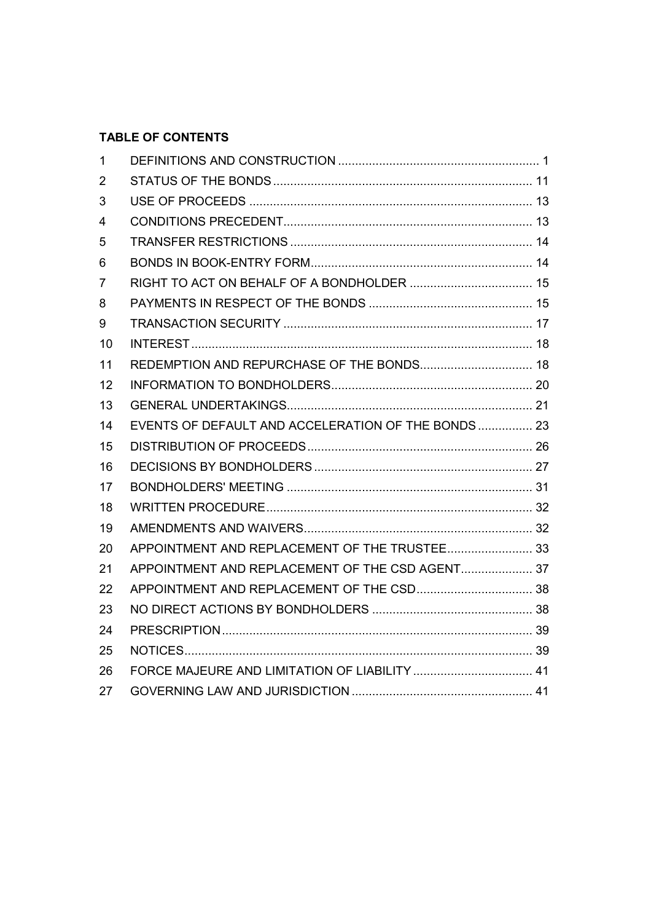# **TABLE OF CONTENTS**

| $\mathbf{1}$   |                                                    |  |
|----------------|----------------------------------------------------|--|
| $\overline{2}$ |                                                    |  |
| 3              |                                                    |  |
| 4              |                                                    |  |
| 5              |                                                    |  |
| 6              |                                                    |  |
| $\overline{7}$ |                                                    |  |
| 8              |                                                    |  |
| 9              |                                                    |  |
| 10             |                                                    |  |
| 11             | REDEMPTION AND REPURCHASE OF THE BONDS 18          |  |
| 12             |                                                    |  |
| 13             |                                                    |  |
| 14             | EVENTS OF DEFAULT AND ACCELERATION OF THE BONDS 23 |  |
| 15             |                                                    |  |
| 16             |                                                    |  |
| 17             |                                                    |  |
| 18             |                                                    |  |
| 19             |                                                    |  |
| 20             | APPOINTMENT AND REPLACEMENT OF THE TRUSTEE 33      |  |
| 21             | APPOINTMENT AND REPLACEMENT OF THE CSD AGENT 37    |  |
| 22             |                                                    |  |
| 23             |                                                    |  |
| 24             |                                                    |  |
| 25             |                                                    |  |
| 26             |                                                    |  |
| 27             |                                                    |  |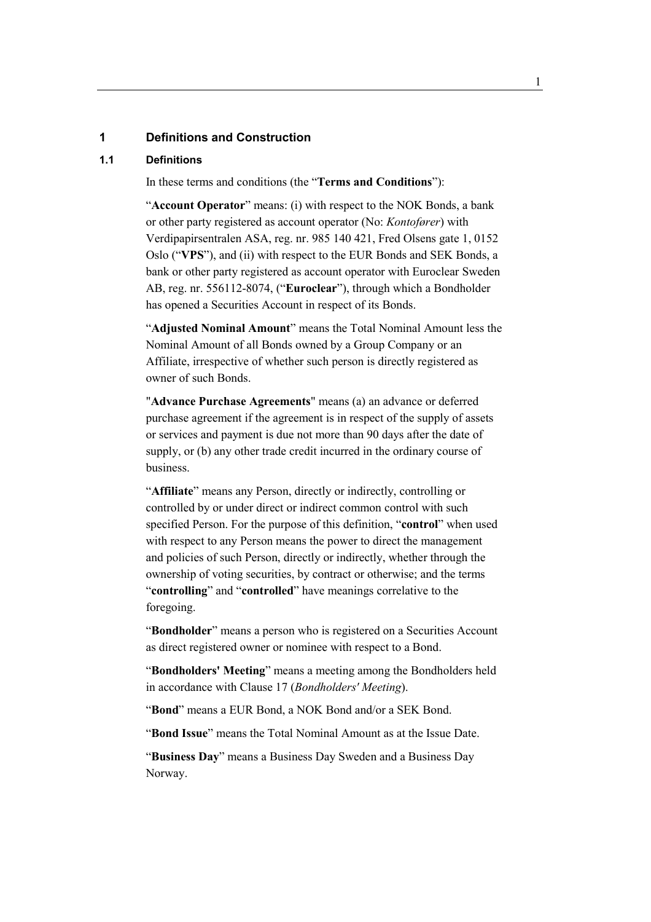#### **1 Definitions and Construction**

#### **1.1 Definitions**

In these terms and conditions (the "**Terms and Conditions**"):

"**Account Operator**" means: (i) with respect to the NOK Bonds, a bank or other party registered as account operator (No: *Kontofører*) with Verdipapirsentralen ASA, reg. nr. 985 140 421, Fred Olsens gate 1, 0152 Oslo ("**VPS**"), and (ii) with respect to the EUR Bonds and SEK Bonds, a bank or other party registered as account operator with Euroclear Sweden AB, reg. nr. 556112-8074, ("**Euroclear**"), through which a Bondholder has opened a Securities Account in respect of its Bonds.

"**Adjusted Nominal Amount**" means the Total Nominal Amount less the Nominal Amount of all Bonds owned by a Group Company or an Affiliate, irrespective of whether such person is directly registered as owner of such Bonds.

"**Advance Purchase Agreements**" means (a) an advance or deferred purchase agreement if the agreement is in respect of the supply of assets or services and payment is due not more than 90 days after the date of supply, or (b) any other trade credit incurred in the ordinary course of business.

"**Affiliate**" means any Person, directly or indirectly, controlling or controlled by or under direct or indirect common control with such specified Person. For the purpose of this definition, "**control**" when used with respect to any Person means the power to direct the management and policies of such Person, directly or indirectly, whether through the ownership of voting securities, by contract or otherwise; and the terms "**controlling**" and "**controlled**" have meanings correlative to the foregoing.

"**Bondholder**" means a person who is registered on a Securities Account as direct registered owner or nominee with respect to a Bond.

"**Bondholders' Meeting**" means a meeting among the Bondholders held in accordance with Clause 17 (*Bondholders' Meeting*).

"**Bond**" means a EUR Bond, a NOK Bond and/or a SEK Bond.

"**Bond Issue**" means the Total Nominal Amount as at the Issue Date.

"**Business Day**" means a Business Day Sweden and a Business Day Norway.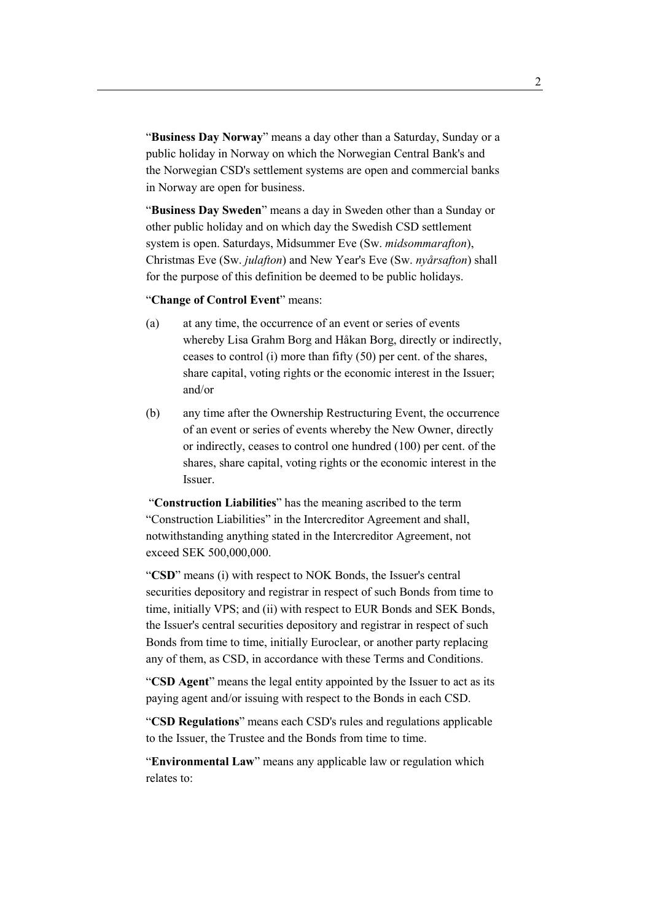"**Business Day Norway**" means a day other than a Saturday, Sunday or a public holiday in Norway on which the Norwegian Central Bank's and the Norwegian CSD's settlement systems are open and commercial banks in Norway are open for business.

"**Business Day Sweden**" means a day in Sweden other than a Sunday or other public holiday and on which day the Swedish CSD settlement system is open. Saturdays, Midsummer Eve (Sw. *midsommarafton*), Christmas Eve (Sw. *julafton*) and New Year's Eve (Sw. *nyårsafton*) shall for the purpose of this definition be deemed to be public holidays.

"**Change of Control Event**" means:

- (a) at any time, the occurrence of an event or series of events whereby Lisa Grahm Borg and Håkan Borg, directly or indirectly, ceases to control (i) more than fifty (50) per cent. of the shares, share capital, voting rights or the economic interest in the Issuer; and/or
- (b) any time after the Ownership Restructuring Event, the occurrence of an event or series of events whereby the New Owner, directly or indirectly, ceases to control one hundred (100) per cent. of the shares, share capital, voting rights or the economic interest in the Issuer.

 "**Construction Liabilities**" has the meaning ascribed to the term "Construction Liabilities" in the Intercreditor Agreement and shall, notwithstanding anything stated in the Intercreditor Agreement, not exceed SEK 500,000,000.

"**CSD**" means (i) with respect to NOK Bonds, the Issuer's central securities depository and registrar in respect of such Bonds from time to time, initially VPS; and (ii) with respect to EUR Bonds and SEK Bonds, the Issuer's central securities depository and registrar in respect of such Bonds from time to time, initially Euroclear, or another party replacing any of them, as CSD, in accordance with these Terms and Conditions.

"**CSD Agent**" means the legal entity appointed by the Issuer to act as its paying agent and/or issuing with respect to the Bonds in each CSD.

"**CSD Regulations**" means each CSD's rules and regulations applicable to the Issuer, the Trustee and the Bonds from time to time.

"**Environmental Law**" means any applicable law or regulation which relates to: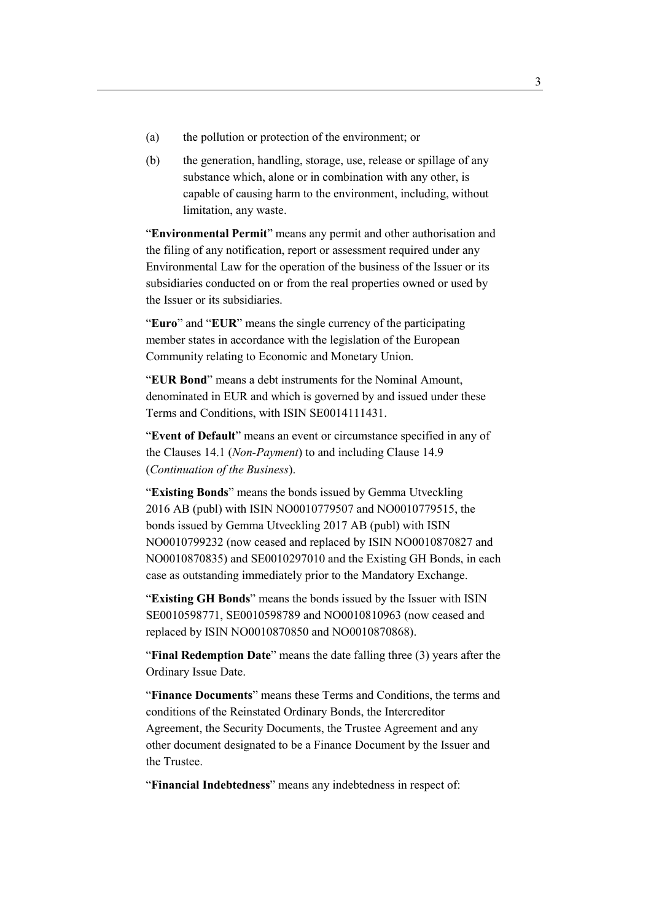- (a) the pollution or protection of the environment; or
- (b) the generation, handling, storage, use, release or spillage of any substance which, alone or in combination with any other, is capable of causing harm to the environment, including, without limitation, any waste.

"**Environmental Permit**" means any permit and other authorisation and the filing of any notification, report or assessment required under any Environmental Law for the operation of the business of the Issuer or its subsidiaries conducted on or from the real properties owned or used by the Issuer or its subsidiaries.

"**Euro**" and "**EUR**" means the single currency of the participating member states in accordance with the legislation of the European Community relating to Economic and Monetary Union.

"**EUR Bond**" means a debt instruments for the Nominal Amount, denominated in EUR and which is governed by and issued under these Terms and Conditions, with ISIN SE0014111431.

"**Event of Default**" means an event or circumstance specified in any of the Clauses 14.1 (*Non-Payment*) to and including Clause 14.9 (*Continuation of the Business*).

"**Existing Bonds**" means the bonds issued by Gemma Utveckling 2016 AB (publ) with ISIN NO0010779507 and NO0010779515, the bonds issued by Gemma Utveckling 2017 AB (publ) with ISIN NO0010799232 (now ceased and replaced by ISIN NO0010870827 and NO0010870835) and SE0010297010 and the Existing GH Bonds, in each case as outstanding immediately prior to the Mandatory Exchange.

"**Existing GH Bonds**" means the bonds issued by the Issuer with ISIN SE0010598771, SE0010598789 and NO0010810963 (now ceased and replaced by ISIN NO0010870850 and NO0010870868).

"**Final Redemption Date**" means the date falling three (3) years after the Ordinary Issue Date.

"**Finance Documents**" means these Terms and Conditions, the terms and conditions of the Reinstated Ordinary Bonds, the Intercreditor Agreement, the Security Documents, the Trustee Agreement and any other document designated to be a Finance Document by the Issuer and the Trustee.

"**Financial Indebtedness**" means any indebtedness in respect of: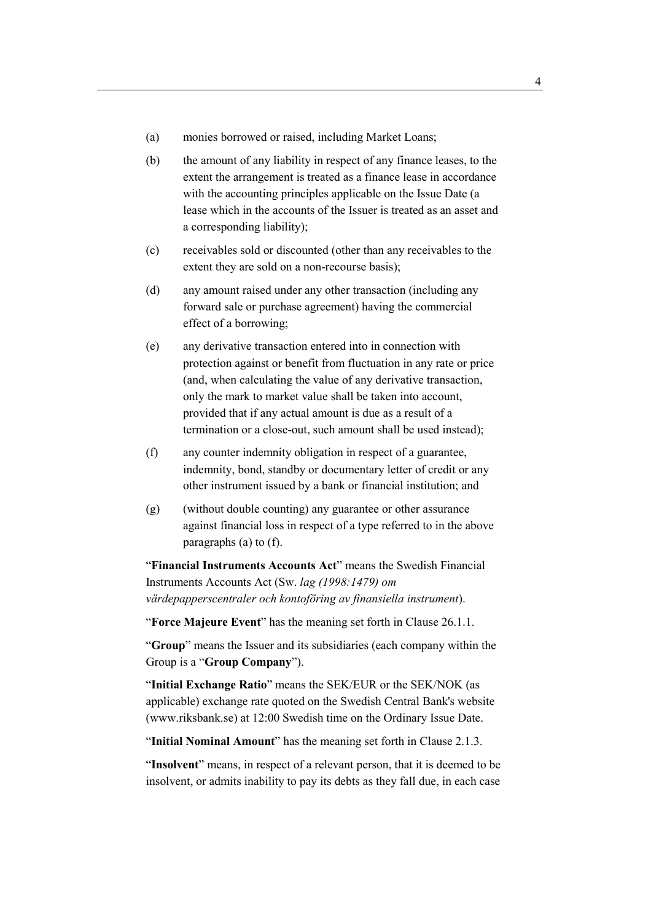- (a) monies borrowed or raised, including Market Loans;
- (b) the amount of any liability in respect of any finance leases, to the extent the arrangement is treated as a finance lease in accordance with the accounting principles applicable on the Issue Date (a lease which in the accounts of the Issuer is treated as an asset and a corresponding liability);
- (c) receivables sold or discounted (other than any receivables to the extent they are sold on a non-recourse basis);
- (d) any amount raised under any other transaction (including any forward sale or purchase agreement) having the commercial effect of a borrowing;
- (e) any derivative transaction entered into in connection with protection against or benefit from fluctuation in any rate or price (and, when calculating the value of any derivative transaction, only the mark to market value shall be taken into account, provided that if any actual amount is due as a result of a termination or a close-out, such amount shall be used instead);
- (f) any counter indemnity obligation in respect of a guarantee, indemnity, bond, standby or documentary letter of credit or any other instrument issued by a bank or financial institution; and
- (g) (without double counting) any guarantee or other assurance against financial loss in respect of a type referred to in the above paragraphs (a) to (f).

"**Financial Instruments Accounts Act**" means the Swedish Financial Instruments Accounts Act (Sw. *lag (1998:1479) om värdepapperscentraler och kontoföring av finansiella instrument*).

"**Force Majeure Event**" has the meaning set forth in Clause 26.1.1.

"**Group**" means the Issuer and its subsidiaries (each company within the Group is a "**Group Company**").

"**Initial Exchange Ratio**" means the SEK/EUR or the SEK/NOK (as applicable) exchange rate quoted on the Swedish Central Bank's website (www.riksbank.se) at 12:00 Swedish time on the Ordinary Issue Date.

"**Initial Nominal Amount**" has the meaning set forth in Clause 2.1.3.

"**Insolvent**" means, in respect of a relevant person, that it is deemed to be insolvent, or admits inability to pay its debts as they fall due, in each case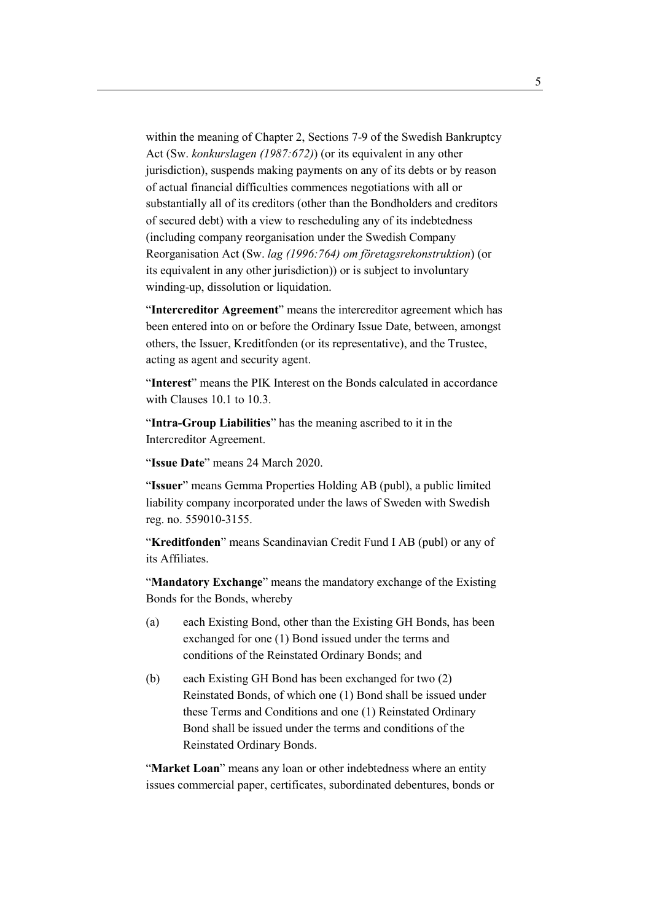within the meaning of Chapter 2, Sections 7-9 of the Swedish Bankruptcy Act (Sw. *konkurslagen (1987:672)*) (or its equivalent in any other jurisdiction), suspends making payments on any of its debts or by reason of actual financial difficulties commences negotiations with all or substantially all of its creditors (other than the Bondholders and creditors of secured debt) with a view to rescheduling any of its indebtedness (including company reorganisation under the Swedish Company Reorganisation Act (Sw. *lag (1996:764) om företagsrekonstruktion*) (or its equivalent in any other jurisdiction)) or is subject to involuntary winding-up, dissolution or liquidation.

"**Intercreditor Agreement**" means the intercreditor agreement which has been entered into on or before the Ordinary Issue Date, between, amongst others, the Issuer, Kreditfonden (or its representative), and the Trustee, acting as agent and security agent.

"**Interest**" means the PIK Interest on the Bonds calculated in accordance with Clauses 10.1 to 10.3.

"**Intra-Group Liabilities**" has the meaning ascribed to it in the Intercreditor Agreement.

"**Issue Date**" means 24 March 2020.

"**Issuer**" means Gemma Properties Holding AB (publ), a public limited liability company incorporated under the laws of Sweden with Swedish reg. no. 559010-3155.

"**Kreditfonden**" means Scandinavian Credit Fund I AB (publ) or any of its Affiliates.

"**Mandatory Exchange**" means the mandatory exchange of the Existing Bonds for the Bonds, whereby

- (a) each Existing Bond, other than the Existing GH Bonds, has been exchanged for one (1) Bond issued under the terms and conditions of the Reinstated Ordinary Bonds; and
- (b) each Existing GH Bond has been exchanged for two (2) Reinstated Bonds, of which one (1) Bond shall be issued under these Terms and Conditions and one (1) Reinstated Ordinary Bond shall be issued under the terms and conditions of the Reinstated Ordinary Bonds.

"**Market Loan**" means any loan or other indebtedness where an entity issues commercial paper, certificates, subordinated debentures, bonds or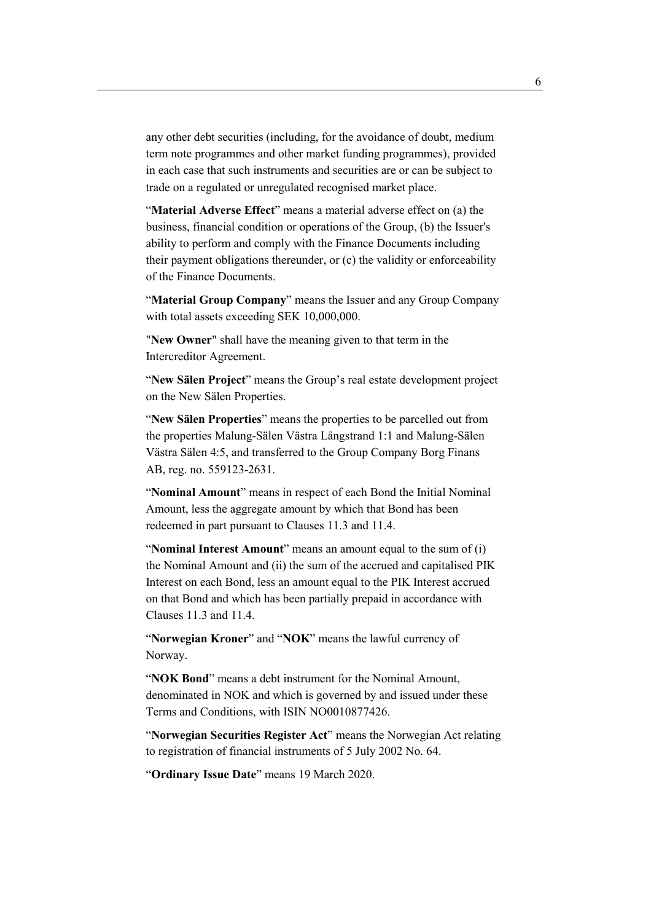any other debt securities (including, for the avoidance of doubt, medium term note programmes and other market funding programmes), provided in each case that such instruments and securities are or can be subject to trade on a regulated or unregulated recognised market place.

"**Material Adverse Effect**" means a material adverse effect on (a) the business, financial condition or operations of the Group, (b) the Issuer's ability to perform and comply with the Finance Documents including their payment obligations thereunder, or (c) the validity or enforceability of the Finance Documents.

"**Material Group Company**" means the Issuer and any Group Company with total assets exceeding SEK 10,000,000.

"**New Owner**" shall have the meaning given to that term in the Intercreditor Agreement.

"**New Sälen Project**" means the Group's real estate development project on the New Sälen Properties.

"**New Sälen Properties**" means the properties to be parcelled out from the properties Malung-Sälen Västra Långstrand 1:1 and Malung-Sälen Västra Sälen 4:5, and transferred to the Group Company Borg Finans AB, reg. no. 559123-2631.

"**Nominal Amount**" means in respect of each Bond the Initial Nominal Amount, less the aggregate amount by which that Bond has been redeemed in part pursuant to Clauses 11.3 and 11.4.

"**Nominal Interest Amount**" means an amount equal to the sum of (i) the Nominal Amount and (ii) the sum of the accrued and capitalised PIK Interest on each Bond, less an amount equal to the PIK Interest accrued on that Bond and which has been partially prepaid in accordance with Clauses 11.3 and 11.4.

"**Norwegian Kroner**" and "**NOK**" means the lawful currency of Norway.

"**NOK Bond**" means a debt instrument for the Nominal Amount, denominated in NOK and which is governed by and issued under these Terms and Conditions, with ISIN NO0010877426.

"**Norwegian Securities Register Act**" means the Norwegian Act relating to registration of financial instruments of 5 July 2002 No. 64.

"**Ordinary Issue Date**" means 19 March 2020.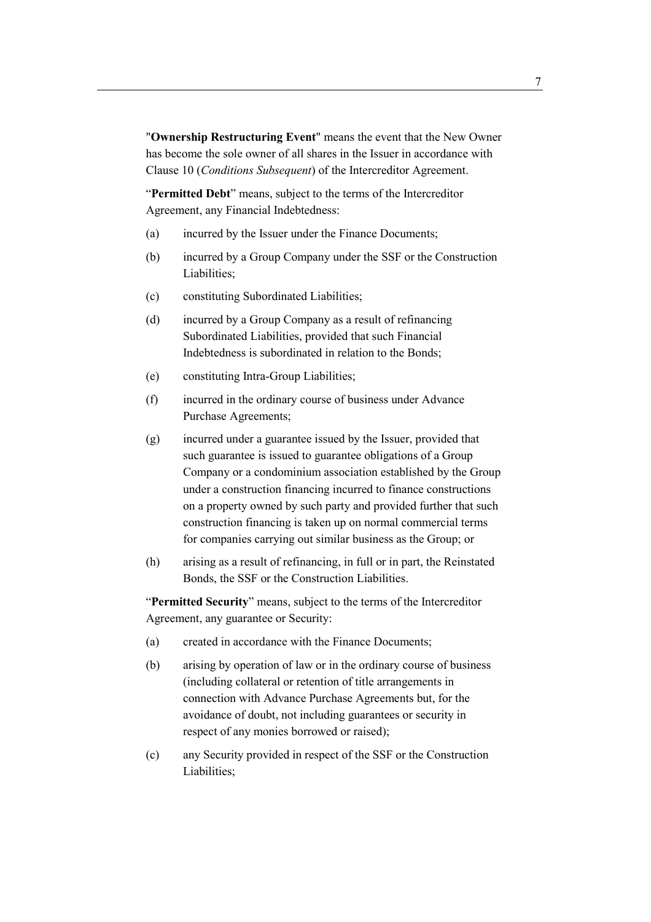"**Ownership Restructuring Event**" means the event that the New Owner has become the sole owner of all shares in the Issuer in accordance with Clause 10 (*Conditions Subsequent*) of the Intercreditor Agreement.

"**Permitted Debt**" means, subject to the terms of the Intercreditor Agreement, any Financial Indebtedness:

- (a) incurred by the Issuer under the Finance Documents;
- (b) incurred by a Group Company under the SSF or the Construction Liabilities;
- (c) constituting Subordinated Liabilities;
- (d) incurred by a Group Company as a result of refinancing Subordinated Liabilities, provided that such Financial Indebtedness is subordinated in relation to the Bonds;
- (e) constituting Intra-Group Liabilities;
- (f) incurred in the ordinary course of business under Advance Purchase Agreements;
- (g) incurred under a guarantee issued by the Issuer, provided that such guarantee is issued to guarantee obligations of a Group Company or a condominium association established by the Group under a construction financing incurred to finance constructions on a property owned by such party and provided further that such construction financing is taken up on normal commercial terms for companies carrying out similar business as the Group; or
- (h) arising as a result of refinancing, in full or in part, the Reinstated Bonds, the SSF or the Construction Liabilities.

"**Permitted Security**" means, subject to the terms of the Intercreditor Agreement, any guarantee or Security:

- (a) created in accordance with the Finance Documents;
- (b) arising by operation of law or in the ordinary course of business (including collateral or retention of title arrangements in connection with Advance Purchase Agreements but, for the avoidance of doubt, not including guarantees or security in respect of any monies borrowed or raised);
- (c) any Security provided in respect of the SSF or the Construction Liabilities;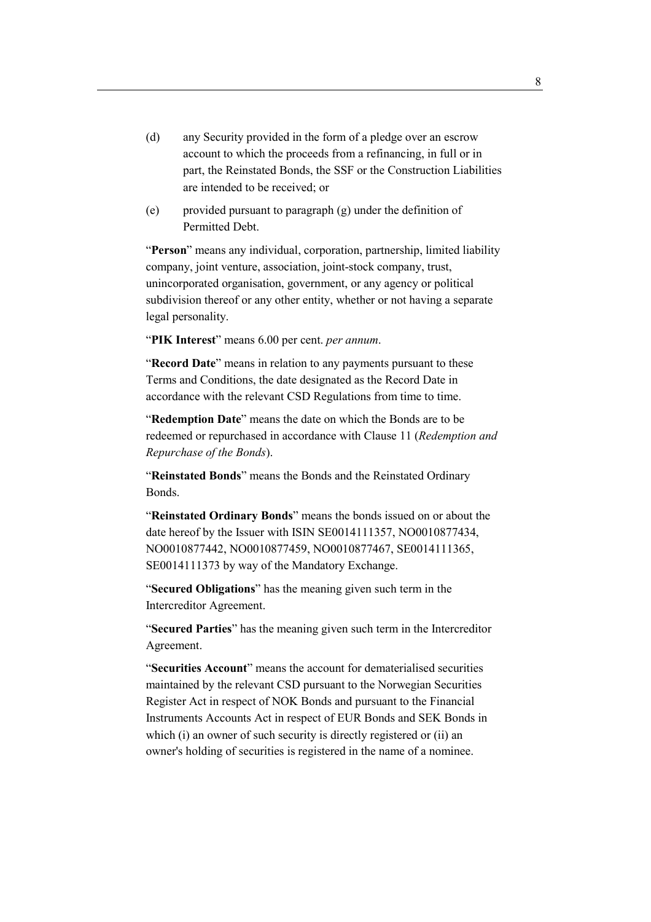- (d) any Security provided in the form of a pledge over an escrow account to which the proceeds from a refinancing, in full or in part, the Reinstated Bonds, the SSF or the Construction Liabilities are intended to be received; or
- (e) provided pursuant to paragraph  $(g)$  under the definition of Permitted Debt.

"**Person**" means any individual, corporation, partnership, limited liability company, joint venture, association, joint-stock company, trust, unincorporated organisation, government, or any agency or political subdivision thereof or any other entity, whether or not having a separate legal personality.

"**PIK Interest**" means 6.00 per cent. *per annum*.

"**Record Date**" means in relation to any payments pursuant to these Terms and Conditions, the date designated as the Record Date in accordance with the relevant CSD Regulations from time to time.

"**Redemption Date**" means the date on which the Bonds are to be redeemed or repurchased in accordance with Clause 11 (*Redemption and Repurchase of the Bonds*).

"**Reinstated Bonds**" means the Bonds and the Reinstated Ordinary Bonds.

"**Reinstated Ordinary Bonds**" means the bonds issued on or about the date hereof by the Issuer with ISIN SE0014111357, NO0010877434, NO0010877442, NO0010877459, NO0010877467, SE0014111365, SE0014111373 by way of the Mandatory Exchange.

"**Secured Obligations**" has the meaning given such term in the Intercreditor Agreement.

"**Secured Parties**" has the meaning given such term in the Intercreditor Agreement.

"**Securities Account**" means the account for dematerialised securities maintained by the relevant CSD pursuant to the Norwegian Securities Register Act in respect of NOK Bonds and pursuant to the Financial Instruments Accounts Act in respect of EUR Bonds and SEK Bonds in which (i) an owner of such security is directly registered or (ii) an owner's holding of securities is registered in the name of a nominee.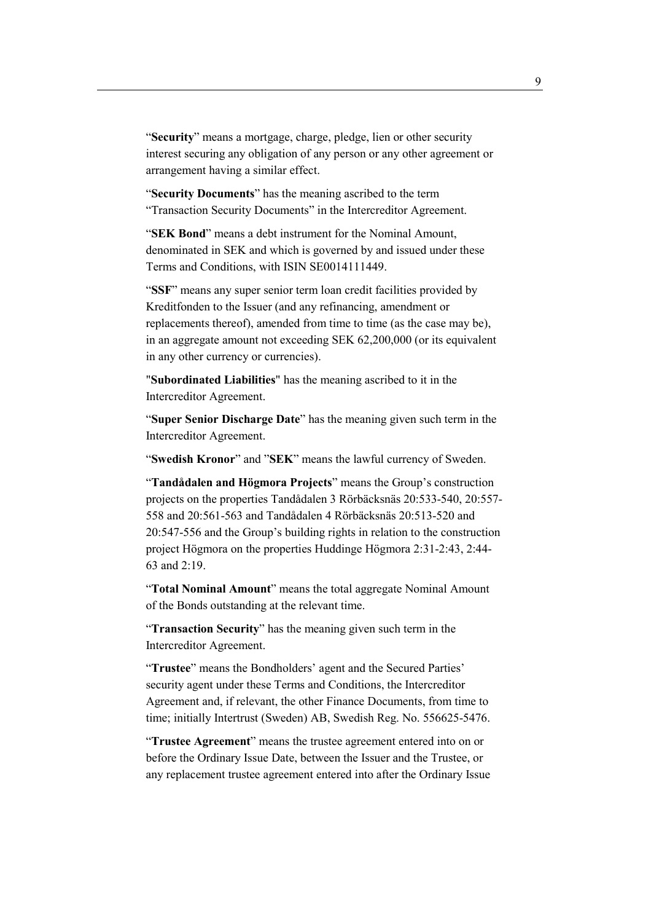"**Security**" means a mortgage, charge, pledge, lien or other security interest securing any obligation of any person or any other agreement or arrangement having a similar effect.

"**Security Documents**" has the meaning ascribed to the term "Transaction Security Documents" in the Intercreditor Agreement.

"**SEK Bond**" means a debt instrument for the Nominal Amount, denominated in SEK and which is governed by and issued under these Terms and Conditions, with ISIN SE0014111449.

"**SSF**" means any super senior term loan credit facilities provided by Kreditfonden to the Issuer (and any refinancing, amendment or replacements thereof), amended from time to time (as the case may be), in an aggregate amount not exceeding SEK 62,200,000 (or its equivalent in any other currency or currencies).

"**Subordinated Liabilities**" has the meaning ascribed to it in the Intercreditor Agreement.

"**Super Senior Discharge Date**" has the meaning given such term in the Intercreditor Agreement.

"**Swedish Kronor**" and "**SEK**" means the lawful currency of Sweden.

"**Tandådalen and Högmora Projects**" means the Group's construction projects on the properties Tandådalen 3 Rörbäcksnäs 20:533-540, 20:557- 558 and 20:561-563 and Tandådalen 4 Rörbäcksnäs 20:513-520 and 20:547-556 and the Group's building rights in relation to the construction project Högmora on the properties Huddinge Högmora 2:31-2:43, 2:44- 63 and 2:19.

"**Total Nominal Amount**" means the total aggregate Nominal Amount of the Bonds outstanding at the relevant time.

"**Transaction Security**" has the meaning given such term in the Intercreditor Agreement.

"**Trustee**" means the Bondholders' agent and the Secured Parties' security agent under these Terms and Conditions, the Intercreditor Agreement and, if relevant, the other Finance Documents, from time to time; initially Intertrust (Sweden) AB, Swedish Reg. No. 556625-5476.

"**Trustee Agreement**" means the trustee agreement entered into on or before the Ordinary Issue Date, between the Issuer and the Trustee, or any replacement trustee agreement entered into after the Ordinary Issue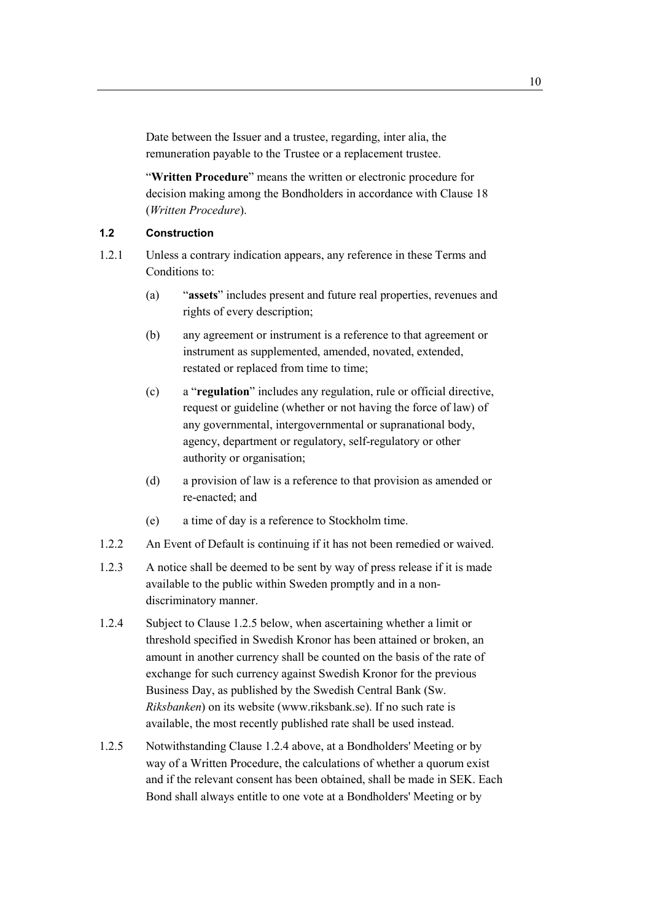Date between the Issuer and a trustee, regarding, inter alia, the remuneration payable to the Trustee or a replacement trustee.

"**Written Procedure**" means the written or electronic procedure for decision making among the Bondholders in accordance with Clause 18 (*Written Procedure*).

## **1.2 Construction**

- 1.2.1 Unless a contrary indication appears, any reference in these Terms and Conditions to:
	- (a) "**assets**" includes present and future real properties, revenues and rights of every description;
	- (b) any agreement or instrument is a reference to that agreement or instrument as supplemented, amended, novated, extended, restated or replaced from time to time;
	- (c) a "**regulation**" includes any regulation, rule or official directive, request or guideline (whether or not having the force of law) of any governmental, intergovernmental or supranational body, agency, department or regulatory, self-regulatory or other authority or organisation;
	- (d) a provision of law is a reference to that provision as amended or re-enacted; and
	- (e) a time of day is a reference to Stockholm time.
- 1.2.2 An Event of Default is continuing if it has not been remedied or waived.
- 1.2.3 A notice shall be deemed to be sent by way of press release if it is made available to the public within Sweden promptly and in a nondiscriminatory manner.
- 1.2.4 Subject to Clause 1.2.5 below, when ascertaining whether a limit or threshold specified in Swedish Kronor has been attained or broken, an amount in another currency shall be counted on the basis of the rate of exchange for such currency against Swedish Kronor for the previous Business Day, as published by the Swedish Central Bank (Sw. *Riksbanken*) on its website (www.riksbank.se). If no such rate is available, the most recently published rate shall be used instead.
- 1.2.5 Notwithstanding Clause 1.2.4 above, at a Bondholders' Meeting or by way of a Written Procedure, the calculations of whether a quorum exist and if the relevant consent has been obtained, shall be made in SEK. Each Bond shall always entitle to one vote at a Bondholders' Meeting or by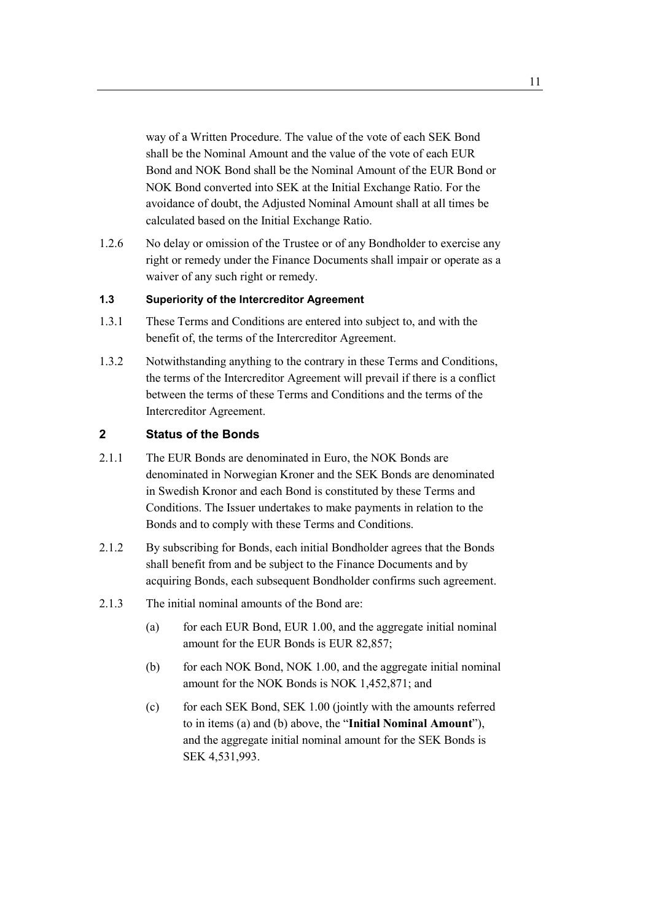way of a Written Procedure. The value of the vote of each SEK Bond shall be the Nominal Amount and the value of the vote of each EUR Bond and NOK Bond shall be the Nominal Amount of the EUR Bond or NOK Bond converted into SEK at the Initial Exchange Ratio. For the avoidance of doubt, the Adjusted Nominal Amount shall at all times be calculated based on the Initial Exchange Ratio.

1.2.6 No delay or omission of the Trustee or of any Bondholder to exercise any right or remedy under the Finance Documents shall impair or operate as a waiver of any such right or remedy.

## **1.3 Superiority of the Intercreditor Agreement**

- 1.3.1 These Terms and Conditions are entered into subject to, and with the benefit of, the terms of the Intercreditor Agreement.
- 1.3.2 Notwithstanding anything to the contrary in these Terms and Conditions, the terms of the Intercreditor Agreement will prevail if there is a conflict between the terms of these Terms and Conditions and the terms of the Intercreditor Agreement.

#### **2 Status of the Bonds**

- 2.1.1 The EUR Bonds are denominated in Euro, the NOK Bonds are denominated in Norwegian Kroner and the SEK Bonds are denominated in Swedish Kronor and each Bond is constituted by these Terms and Conditions. The Issuer undertakes to make payments in relation to the Bonds and to comply with these Terms and Conditions.
- 2.1.2 By subscribing for Bonds, each initial Bondholder agrees that the Bonds shall benefit from and be subject to the Finance Documents and by acquiring Bonds, each subsequent Bondholder confirms such agreement.
- 2.1.3 The initial nominal amounts of the Bond are:
	- (a) for each EUR Bond, EUR 1.00, and the aggregate initial nominal amount for the EUR Bonds is EUR 82,857;
	- (b) for each NOK Bond, NOK 1.00, and the aggregate initial nominal amount for the NOK Bonds is NOK 1,452,871; and
	- (c) for each SEK Bond, SEK 1.00 (jointly with the amounts referred to in items (a) and (b) above, the "**Initial Nominal Amount**"), and the aggregate initial nominal amount for the SEK Bonds is SEK 4,531,993.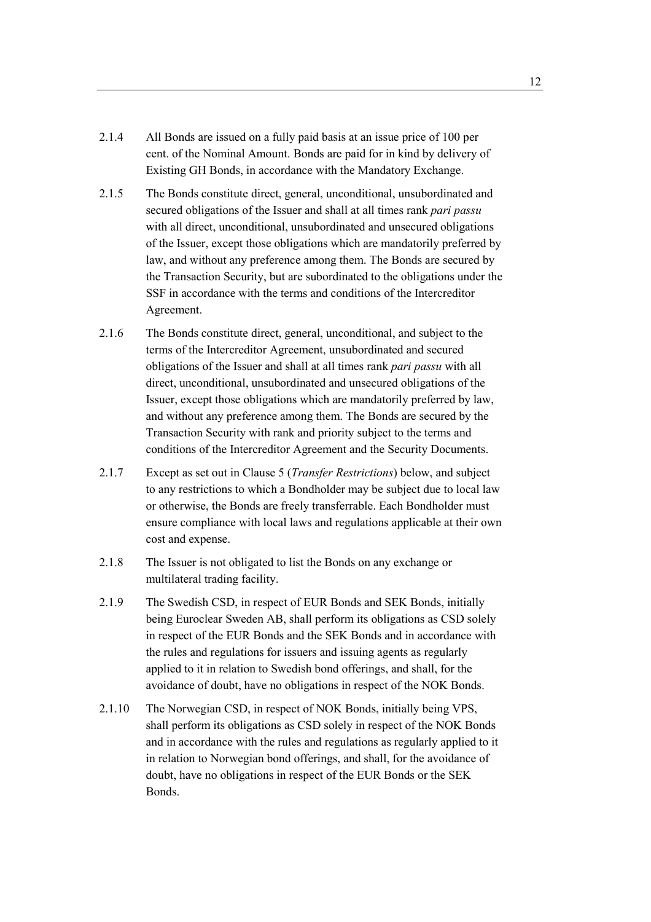- 2.1.4 All Bonds are issued on a fully paid basis at an issue price of 100 per cent. of the Nominal Amount. Bonds are paid for in kind by delivery of Existing GH Bonds, in accordance with the Mandatory Exchange.
- 2.1.5 The Bonds constitute direct, general, unconditional, unsubordinated and secured obligations of the Issuer and shall at all times rank *pari passu* with all direct, unconditional, unsubordinated and unsecured obligations of the Issuer, except those obligations which are mandatorily preferred by law, and without any preference among them. The Bonds are secured by the Transaction Security, but are subordinated to the obligations under the SSF in accordance with the terms and conditions of the Intercreditor Agreement.
- 2.1.6 The Bonds constitute direct, general, unconditional, and subject to the terms of the Intercreditor Agreement, unsubordinated and secured obligations of the Issuer and shall at all times rank *pari passu* with all direct, unconditional, unsubordinated and unsecured obligations of the Issuer, except those obligations which are mandatorily preferred by law, and without any preference among them. The Bonds are secured by the Transaction Security with rank and priority subject to the terms and conditions of the Intercreditor Agreement and the Security Documents.
- 2.1.7 Except as set out in Clause 5 (*Transfer Restrictions*) below, and subject to any restrictions to which a Bondholder may be subject due to local law or otherwise, the Bonds are freely transferrable. Each Bondholder must ensure compliance with local laws and regulations applicable at their own cost and expense.
- 2.1.8 The Issuer is not obligated to list the Bonds on any exchange or multilateral trading facility.
- 2.1.9 The Swedish CSD, in respect of EUR Bonds and SEK Bonds, initially being Euroclear Sweden AB, shall perform its obligations as CSD solely in respect of the EUR Bonds and the SEK Bonds and in accordance with the rules and regulations for issuers and issuing agents as regularly applied to it in relation to Swedish bond offerings, and shall, for the avoidance of doubt, have no obligations in respect of the NOK Bonds.
- 2.1.10 The Norwegian CSD, in respect of NOK Bonds, initially being VPS, shall perform its obligations as CSD solely in respect of the NOK Bonds and in accordance with the rules and regulations as regularly applied to it in relation to Norwegian bond offerings, and shall, for the avoidance of doubt, have no obligations in respect of the EUR Bonds or the SEK Bonds.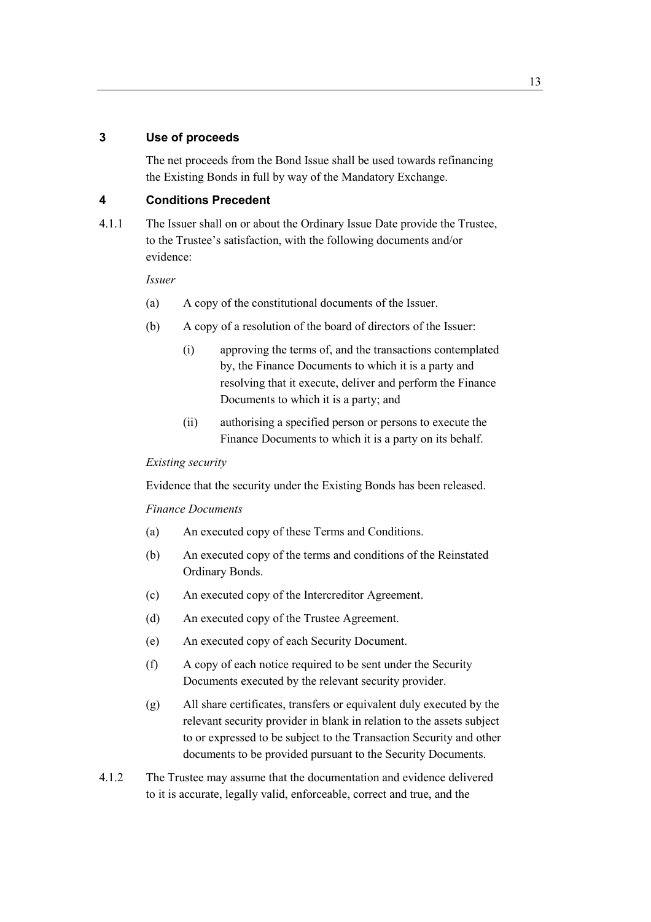## **3 Use of proceeds**

The net proceeds from the Bond Issue shall be used towards refinancing the Existing Bonds in full by way of the Mandatory Exchange.

# **4 Conditions Precedent**

4.1.1 The Issuer shall on or about the Ordinary Issue Date provide the Trustee, to the Trustee's satisfaction, with the following documents and/or evidence:

*Issuer* 

- (a) A copy of the constitutional documents of the Issuer.
- (b) A copy of a resolution of the board of directors of the Issuer:
	- (i) approving the terms of, and the transactions contemplated by, the Finance Documents to which it is a party and resolving that it execute, deliver and perform the Finance Documents to which it is a party; and
	- (ii) authorising a specified person or persons to execute the Finance Documents to which it is a party on its behalf.

#### *Existing security*

Evidence that the security under the Existing Bonds has been released.

#### *Finance Documents*

- (a) An executed copy of these Terms and Conditions.
- (b) An executed copy of the terms and conditions of the Reinstated Ordinary Bonds.
- (c) An executed copy of the Intercreditor Agreement.
- (d) An executed copy of the Trustee Agreement.
- (e) An executed copy of each Security Document.
- (f) A copy of each notice required to be sent under the Security Documents executed by the relevant security provider.
- (g) All share certificates, transfers or equivalent duly executed by the relevant security provider in blank in relation to the assets subject to or expressed to be subject to the Transaction Security and other documents to be provided pursuant to the Security Documents.
- 4.1.2 The Trustee may assume that the documentation and evidence delivered to it is accurate, legally valid, enforceable, correct and true, and the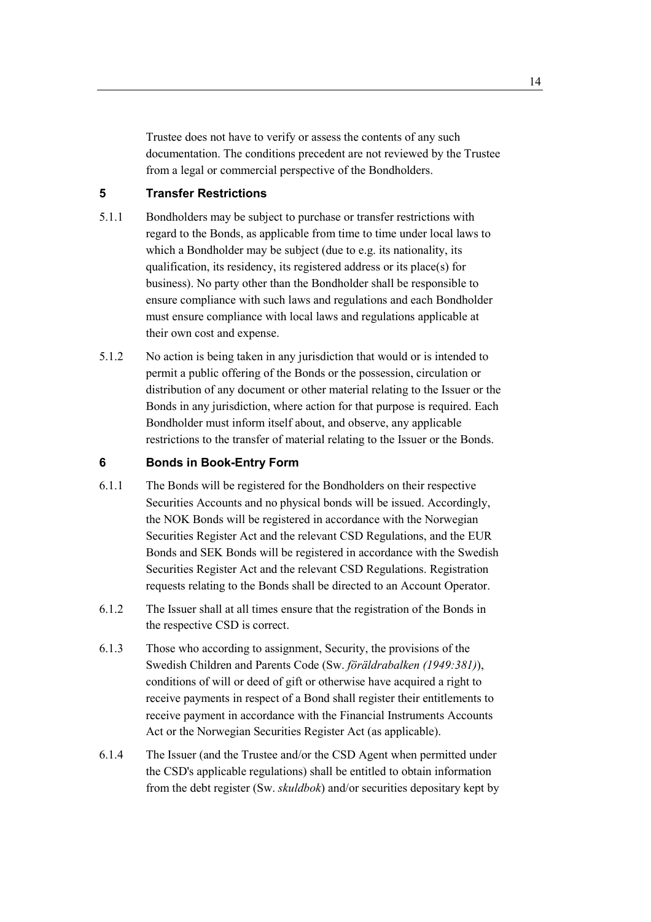Trustee does not have to verify or assess the contents of any such documentation. The conditions precedent are not reviewed by the Trustee from a legal or commercial perspective of the Bondholders.

# **5 Transfer Restrictions**

- 5.1.1 Bondholders may be subject to purchase or transfer restrictions with regard to the Bonds, as applicable from time to time under local laws to which a Bondholder may be subject (due to e.g. its nationality, its qualification, its residency, its registered address or its place(s) for business). No party other than the Bondholder shall be responsible to ensure compliance with such laws and regulations and each Bondholder must ensure compliance with local laws and regulations applicable at their own cost and expense.
- 5.1.2 No action is being taken in any jurisdiction that would or is intended to permit a public offering of the Bonds or the possession, circulation or distribution of any document or other material relating to the Issuer or the Bonds in any jurisdiction, where action for that purpose is required. Each Bondholder must inform itself about, and observe, any applicable restrictions to the transfer of material relating to the Issuer or the Bonds.

# **6 Bonds in Book-Entry Form**

- 6.1.1 The Bonds will be registered for the Bondholders on their respective Securities Accounts and no physical bonds will be issued. Accordingly, the NOK Bonds will be registered in accordance with the Norwegian Securities Register Act and the relevant CSD Regulations, and the EUR Bonds and SEK Bonds will be registered in accordance with the Swedish Securities Register Act and the relevant CSD Regulations. Registration requests relating to the Bonds shall be directed to an Account Operator.
- 6.1.2 The Issuer shall at all times ensure that the registration of the Bonds in the respective CSD is correct.
- 6.1.3 Those who according to assignment, Security, the provisions of the Swedish Children and Parents Code (Sw. *föräldrabalken (1949:381)*), conditions of will or deed of gift or otherwise have acquired a right to receive payments in respect of a Bond shall register their entitlements to receive payment in accordance with the Financial Instruments Accounts Act or the Norwegian Securities Register Act (as applicable).
- 6.1.4 The Issuer (and the Trustee and/or the CSD Agent when permitted under the CSD's applicable regulations) shall be entitled to obtain information from the debt register (Sw. *skuldbok*) and/or securities depositary kept by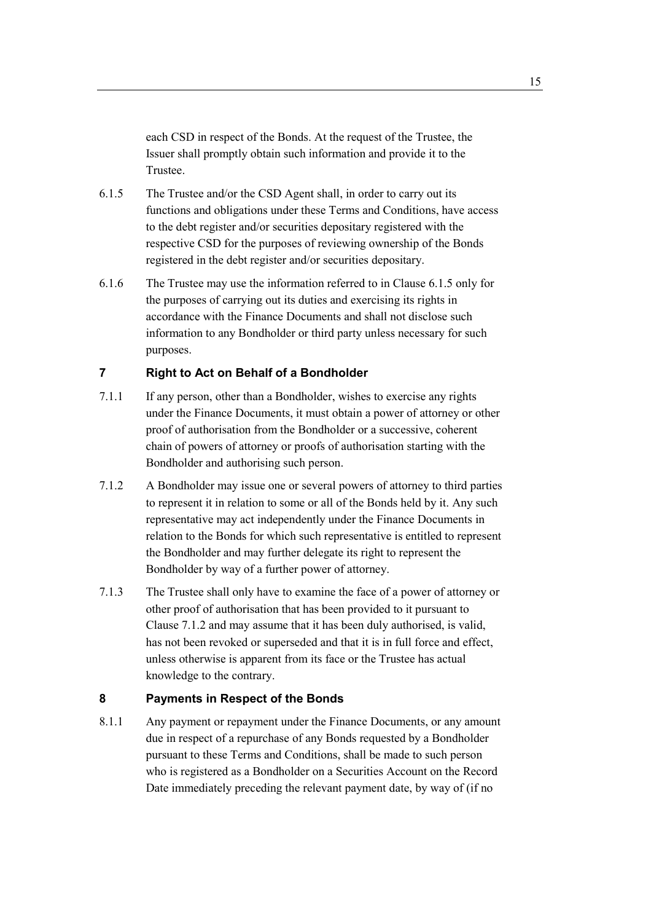each CSD in respect of the Bonds. At the request of the Trustee, the Issuer shall promptly obtain such information and provide it to the Trustee.

- 6.1.5 The Trustee and/or the CSD Agent shall, in order to carry out its functions and obligations under these Terms and Conditions, have access to the debt register and/or securities depositary registered with the respective CSD for the purposes of reviewing ownership of the Bonds registered in the debt register and/or securities depositary.
- 6.1.6 The Trustee may use the information referred to in Clause 6.1.5 only for the purposes of carrying out its duties and exercising its rights in accordance with the Finance Documents and shall not disclose such information to any Bondholder or third party unless necessary for such purposes.

## **7 Right to Act on Behalf of a Bondholder**

- 7.1.1 If any person, other than a Bondholder, wishes to exercise any rights under the Finance Documents, it must obtain a power of attorney or other proof of authorisation from the Bondholder or a successive, coherent chain of powers of attorney or proofs of authorisation starting with the Bondholder and authorising such person.
- 7.1.2 A Bondholder may issue one or several powers of attorney to third parties to represent it in relation to some or all of the Bonds held by it. Any such representative may act independently under the Finance Documents in relation to the Bonds for which such representative is entitled to represent the Bondholder and may further delegate its right to represent the Bondholder by way of a further power of attorney.
- 7.1.3 The Trustee shall only have to examine the face of a power of attorney or other proof of authorisation that has been provided to it pursuant to Clause 7.1.2 and may assume that it has been duly authorised, is valid, has not been revoked or superseded and that it is in full force and effect, unless otherwise is apparent from its face or the Trustee has actual knowledge to the contrary.

#### **8 Payments in Respect of the Bonds**

8.1.1 Any payment or repayment under the Finance Documents, or any amount due in respect of a repurchase of any Bonds requested by a Bondholder pursuant to these Terms and Conditions, shall be made to such person who is registered as a Bondholder on a Securities Account on the Record Date immediately preceding the relevant payment date, by way of (if no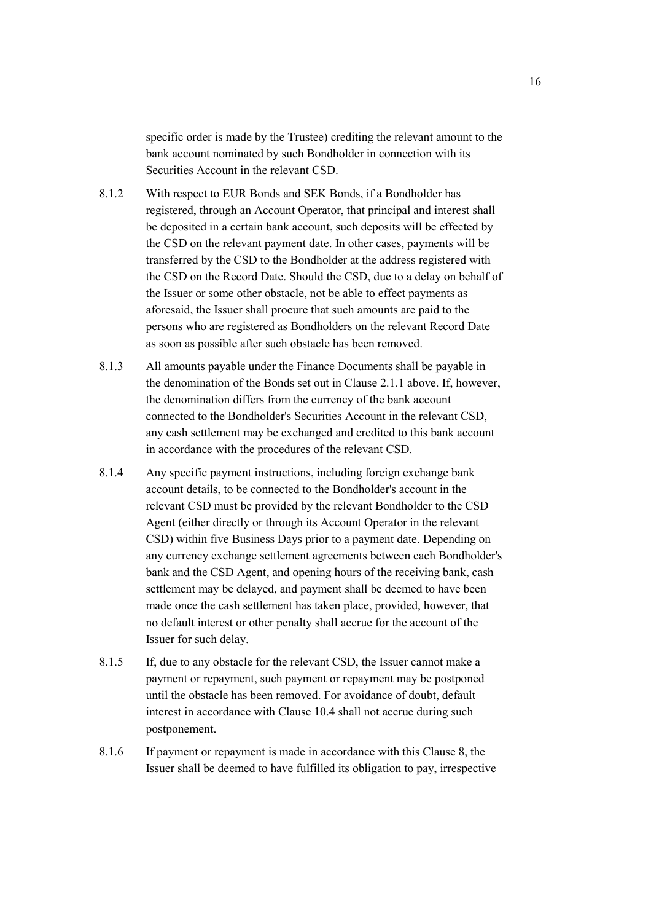specific order is made by the Trustee) crediting the relevant amount to the bank account nominated by such Bondholder in connection with its Securities Account in the relevant CSD.

- 8.1.2 With respect to EUR Bonds and SEK Bonds, if a Bondholder has registered, through an Account Operator, that principal and interest shall be deposited in a certain bank account, such deposits will be effected by the CSD on the relevant payment date. In other cases, payments will be transferred by the CSD to the Bondholder at the address registered with the CSD on the Record Date. Should the CSD, due to a delay on behalf of the Issuer or some other obstacle, not be able to effect payments as aforesaid, the Issuer shall procure that such amounts are paid to the persons who are registered as Bondholders on the relevant Record Date as soon as possible after such obstacle has been removed.
- 8.1.3 All amounts payable under the Finance Documents shall be payable in the denomination of the Bonds set out in Clause 2.1.1 above. If, however, the denomination differs from the currency of the bank account connected to the Bondholder's Securities Account in the relevant CSD, any cash settlement may be exchanged and credited to this bank account in accordance with the procedures of the relevant CSD.
- 8.1.4 Any specific payment instructions, including foreign exchange bank account details, to be connected to the Bondholder's account in the relevant CSD must be provided by the relevant Bondholder to the CSD Agent (either directly or through its Account Operator in the relevant CSD) within five Business Days prior to a payment date. Depending on any currency exchange settlement agreements between each Bondholder's bank and the CSD Agent, and opening hours of the receiving bank, cash settlement may be delayed, and payment shall be deemed to have been made once the cash settlement has taken place, provided, however, that no default interest or other penalty shall accrue for the account of the Issuer for such delay.
- 8.1.5 If, due to any obstacle for the relevant CSD, the Issuer cannot make a payment or repayment, such payment or repayment may be postponed until the obstacle has been removed. For avoidance of doubt, default interest in accordance with Clause 10.4 shall not accrue during such postponement.
- 8.1.6 If payment or repayment is made in accordance with this Clause 8, the Issuer shall be deemed to have fulfilled its obligation to pay, irrespective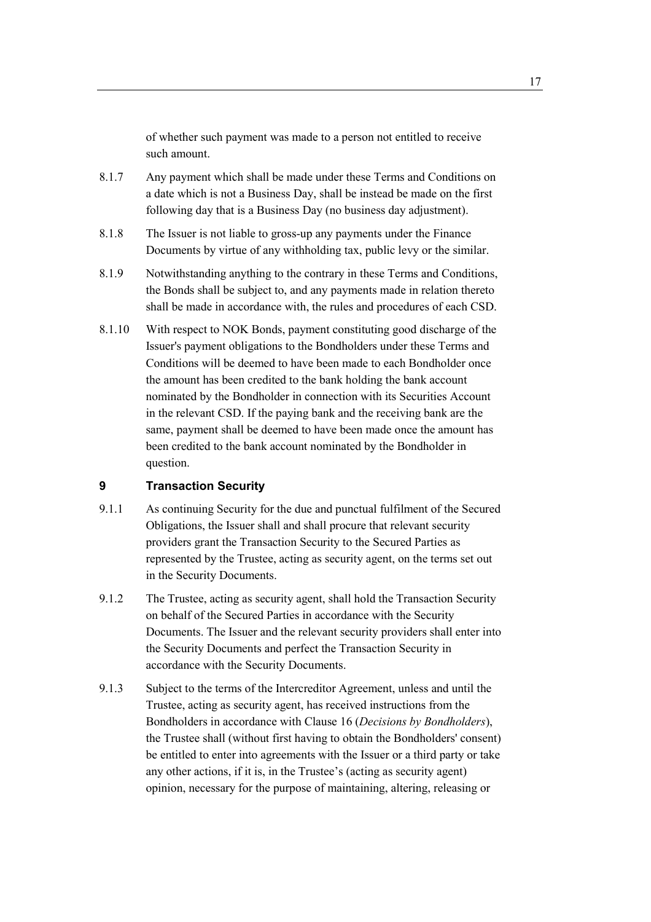of whether such payment was made to a person not entitled to receive such amount.

- 8.1.7 Any payment which shall be made under these Terms and Conditions on a date which is not a Business Day, shall be instead be made on the first following day that is a Business Day (no business day adjustment).
- 8.1.8 The Issuer is not liable to gross-up any payments under the Finance Documents by virtue of any withholding tax, public levy or the similar.
- 8.1.9 Notwithstanding anything to the contrary in these Terms and Conditions, the Bonds shall be subject to, and any payments made in relation thereto shall be made in accordance with, the rules and procedures of each CSD.
- 8.1.10 With respect to NOK Bonds, payment constituting good discharge of the Issuer's payment obligations to the Bondholders under these Terms and Conditions will be deemed to have been made to each Bondholder once the amount has been credited to the bank holding the bank account nominated by the Bondholder in connection with its Securities Account in the relevant CSD. If the paying bank and the receiving bank are the same, payment shall be deemed to have been made once the amount has been credited to the bank account nominated by the Bondholder in question.

# **9 Transaction Security**

- 9.1.1 As continuing Security for the due and punctual fulfilment of the Secured Obligations, the Issuer shall and shall procure that relevant security providers grant the Transaction Security to the Secured Parties as represented by the Trustee, acting as security agent, on the terms set out in the Security Documents.
- 9.1.2 The Trustee, acting as security agent, shall hold the Transaction Security on behalf of the Secured Parties in accordance with the Security Documents. The Issuer and the relevant security providers shall enter into the Security Documents and perfect the Transaction Security in accordance with the Security Documents.
- 9.1.3 Subject to the terms of the Intercreditor Agreement, unless and until the Trustee, acting as security agent, has received instructions from the Bondholders in accordance with Clause 16 (*Decisions by Bondholders*), the Trustee shall (without first having to obtain the Bondholders' consent) be entitled to enter into agreements with the Issuer or a third party or take any other actions, if it is, in the Trustee's (acting as security agent) opinion, necessary for the purpose of maintaining, altering, releasing or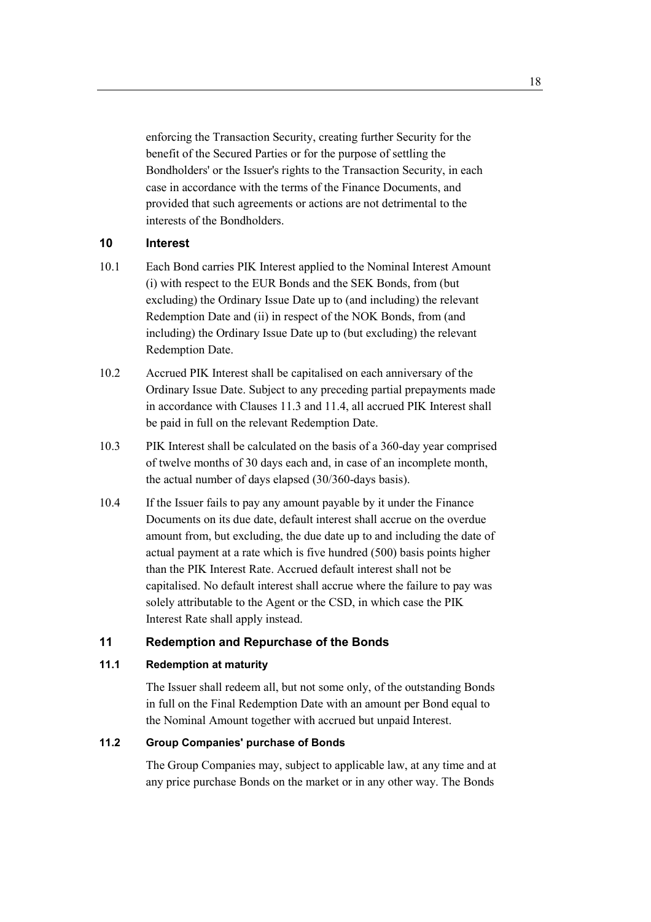enforcing the Transaction Security, creating further Security for the benefit of the Secured Parties or for the purpose of settling the Bondholders' or the Issuer's rights to the Transaction Security, in each case in accordance with the terms of the Finance Documents, and provided that such agreements or actions are not detrimental to the interests of the Bondholders.

## **10 Interest**

- 10.1 Each Bond carries PIK Interest applied to the Nominal Interest Amount (i) with respect to the EUR Bonds and the SEK Bonds, from (but excluding) the Ordinary Issue Date up to (and including) the relevant Redemption Date and (ii) in respect of the NOK Bonds, from (and including) the Ordinary Issue Date up to (but excluding) the relevant Redemption Date.
- 10.2 Accrued PIK Interest shall be capitalised on each anniversary of the Ordinary Issue Date. Subject to any preceding partial prepayments made in accordance with Clauses 11.3 and 11.4, all accrued PIK Interest shall be paid in full on the relevant Redemption Date.
- 10.3 PIK Interest shall be calculated on the basis of a 360-day year comprised of twelve months of 30 days each and, in case of an incomplete month, the actual number of days elapsed (30/360-days basis).
- 10.4 If the Issuer fails to pay any amount payable by it under the Finance Documents on its due date, default interest shall accrue on the overdue amount from, but excluding, the due date up to and including the date of actual payment at a rate which is five hundred (500) basis points higher than the PIK Interest Rate. Accrued default interest shall not be capitalised. No default interest shall accrue where the failure to pay was solely attributable to the Agent or the CSD, in which case the PIK Interest Rate shall apply instead.

# **11 Redemption and Repurchase of the Bonds**

## **11.1 Redemption at maturity**

The Issuer shall redeem all, but not some only, of the outstanding Bonds in full on the Final Redemption Date with an amount per Bond equal to the Nominal Amount together with accrued but unpaid Interest.

## **11.2 Group Companies' purchase of Bonds**

The Group Companies may, subject to applicable law, at any time and at any price purchase Bonds on the market or in any other way. The Bonds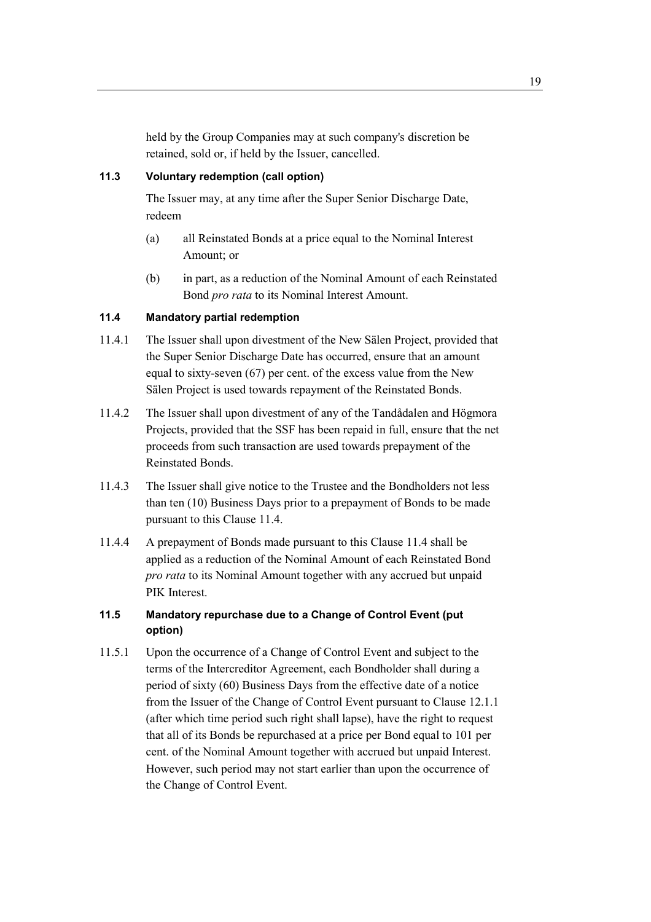held by the Group Companies may at such company's discretion be retained, sold or, if held by the Issuer, cancelled.

## **11.3 Voluntary redemption (call option)**

The Issuer may, at any time after the Super Senior Discharge Date, redeem

- (a) all Reinstated Bonds at a price equal to the Nominal Interest Amount; or
- (b) in part, as a reduction of the Nominal Amount of each Reinstated Bond *pro rata* to its Nominal Interest Amount.

## **11.4 Mandatory partial redemption**

- 11.4.1 The Issuer shall upon divestment of the New Sälen Project, provided that the Super Senior Discharge Date has occurred, ensure that an amount equal to sixty-seven (67) per cent. of the excess value from the New Sälen Project is used towards repayment of the Reinstated Bonds.
- 11.4.2 The Issuer shall upon divestment of any of the Tandådalen and Högmora Projects, provided that the SSF has been repaid in full, ensure that the net proceeds from such transaction are used towards prepayment of the Reinstated Bonds.
- 11.4.3 The Issuer shall give notice to the Trustee and the Bondholders not less than ten (10) Business Days prior to a prepayment of Bonds to be made pursuant to this Clause 11.4.
- 11.4.4 A prepayment of Bonds made pursuant to this Clause 11.4 shall be applied as a reduction of the Nominal Amount of each Reinstated Bond *pro rata* to its Nominal Amount together with any accrued but unpaid PIK Interest.

# **11.5 Mandatory repurchase due to a Change of Control Event (put option)**

11.5.1 Upon the occurrence of a Change of Control Event and subject to the terms of the Intercreditor Agreement, each Bondholder shall during a period of sixty (60) Business Days from the effective date of a notice from the Issuer of the Change of Control Event pursuant to Clause 12.1.1 (after which time period such right shall lapse), have the right to request that all of its Bonds be repurchased at a price per Bond equal to 101 per cent. of the Nominal Amount together with accrued but unpaid Interest. However, such period may not start earlier than upon the occurrence of the Change of Control Event.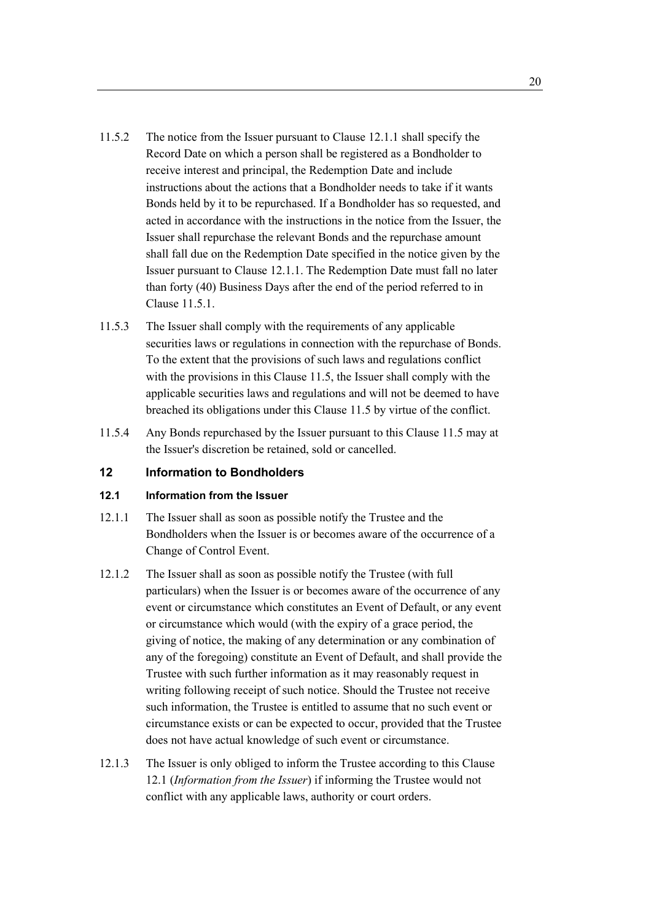- 11.5.2 The notice from the Issuer pursuant to Clause 12.1.1 shall specify the Record Date on which a person shall be registered as a Bondholder to receive interest and principal, the Redemption Date and include instructions about the actions that a Bondholder needs to take if it wants Bonds held by it to be repurchased. If a Bondholder has so requested, and acted in accordance with the instructions in the notice from the Issuer, the Issuer shall repurchase the relevant Bonds and the repurchase amount shall fall due on the Redemption Date specified in the notice given by the Issuer pursuant to Clause 12.1.1. The Redemption Date must fall no later than forty (40) Business Days after the end of the period referred to in Clause 11.5.1.
- 11.5.3 The Issuer shall comply with the requirements of any applicable securities laws or regulations in connection with the repurchase of Bonds. To the extent that the provisions of such laws and regulations conflict with the provisions in this Clause 11.5, the Issuer shall comply with the applicable securities laws and regulations and will not be deemed to have breached its obligations under this Clause 11.5 by virtue of the conflict.
- 11.5.4 Any Bonds repurchased by the Issuer pursuant to this Clause 11.5 may at the Issuer's discretion be retained, sold or cancelled.

## **12 Information to Bondholders**

#### **12.1 Information from the Issuer**

- 12.1.1 The Issuer shall as soon as possible notify the Trustee and the Bondholders when the Issuer is or becomes aware of the occurrence of a Change of Control Event.
- 12.1.2 The Issuer shall as soon as possible notify the Trustee (with full particulars) when the Issuer is or becomes aware of the occurrence of any event or circumstance which constitutes an Event of Default, or any event or circumstance which would (with the expiry of a grace period, the giving of notice, the making of any determination or any combination of any of the foregoing) constitute an Event of Default, and shall provide the Trustee with such further information as it may reasonably request in writing following receipt of such notice. Should the Trustee not receive such information, the Trustee is entitled to assume that no such event or circumstance exists or can be expected to occur, provided that the Trustee does not have actual knowledge of such event or circumstance.
- 12.1.3 The Issuer is only obliged to inform the Trustee according to this Clause 12.1 (*Information from the Issuer*) if informing the Trustee would not conflict with any applicable laws, authority or court orders.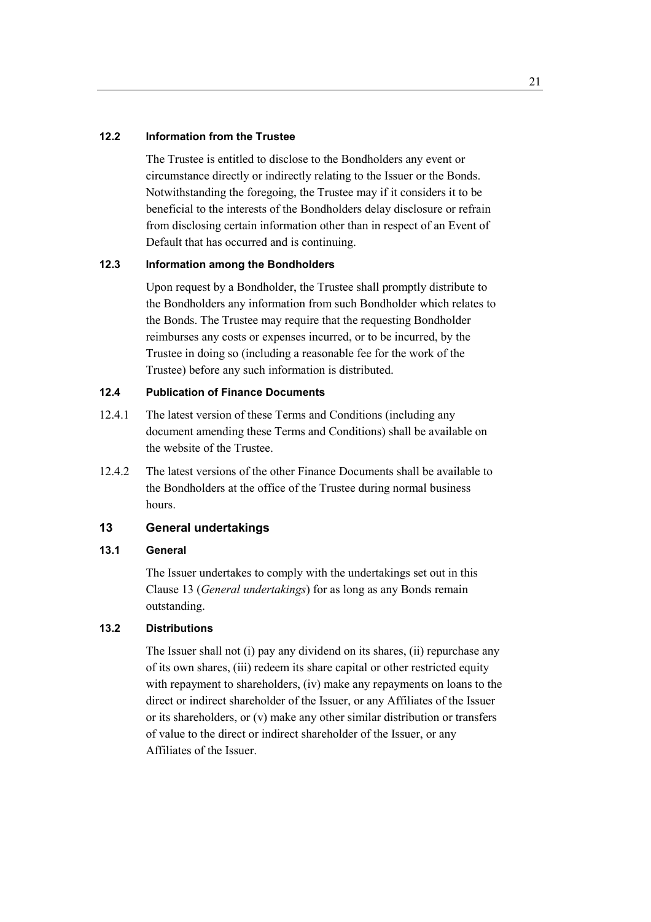#### **12.2 Information from the Trustee**

The Trustee is entitled to disclose to the Bondholders any event or circumstance directly or indirectly relating to the Issuer or the Bonds. Notwithstanding the foregoing, the Trustee may if it considers it to be beneficial to the interests of the Bondholders delay disclosure or refrain from disclosing certain information other than in respect of an Event of Default that has occurred and is continuing.

#### **12.3 Information among the Bondholders**

Upon request by a Bondholder, the Trustee shall promptly distribute to the Bondholders any information from such Bondholder which relates to the Bonds. The Trustee may require that the requesting Bondholder reimburses any costs or expenses incurred, or to be incurred, by the Trustee in doing so (including a reasonable fee for the work of the Trustee) before any such information is distributed.

#### **12.4 Publication of Finance Documents**

- 12.4.1 The latest version of these Terms and Conditions (including any document amending these Terms and Conditions) shall be available on the website of the Trustee.
- 12.4.2 The latest versions of the other Finance Documents shall be available to the Bondholders at the office of the Trustee during normal business hours.

## **13 General undertakings**

#### **13.1 General**

The Issuer undertakes to comply with the undertakings set out in this Clause 13 (*General undertakings*) for as long as any Bonds remain outstanding.

## **13.2 Distributions**

The Issuer shall not (i) pay any dividend on its shares, (ii) repurchase any of its own shares, (iii) redeem its share capital or other restricted equity with repayment to shareholders, (iv) make any repayments on loans to the direct or indirect shareholder of the Issuer, or any Affiliates of the Issuer or its shareholders, or (v) make any other similar distribution or transfers of value to the direct or indirect shareholder of the Issuer, or any Affiliates of the Issuer.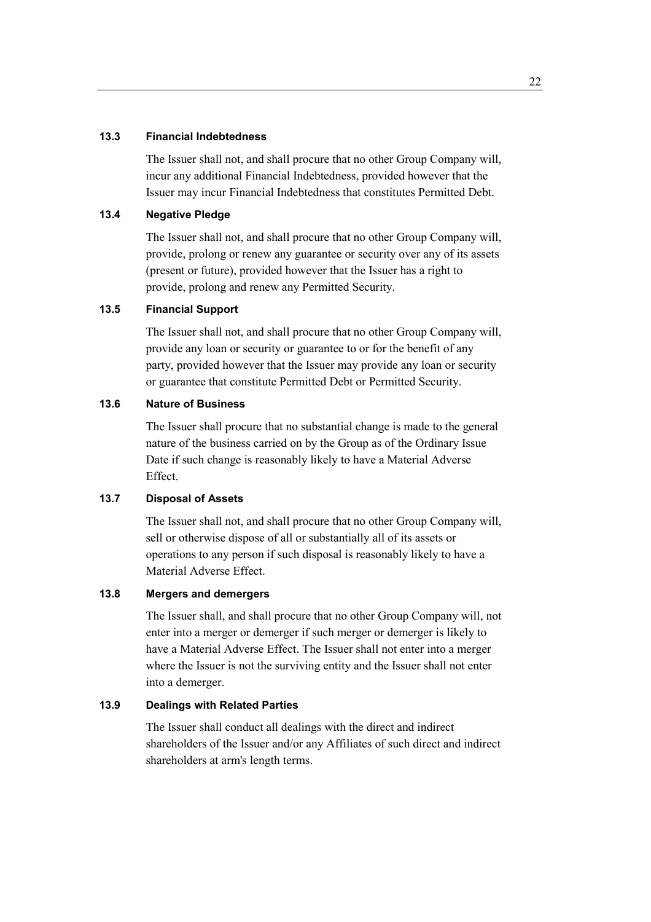#### **13.3 Financial Indebtedness**

The Issuer shall not, and shall procure that no other Group Company will, incur any additional Financial Indebtedness, provided however that the Issuer may incur Financial Indebtedness that constitutes Permitted Debt.

# **13.4 Negative Pledge**

The Issuer shall not, and shall procure that no other Group Company will, provide, prolong or renew any guarantee or security over any of its assets (present or future), provided however that the Issuer has a right to provide, prolong and renew any Permitted Security.

# **13.5 Financial Support**

The Issuer shall not, and shall procure that no other Group Company will, provide any loan or security or guarantee to or for the benefit of any party, provided however that the Issuer may provide any loan or security or guarantee that constitute Permitted Debt or Permitted Security.

#### **13.6 Nature of Business**

The Issuer shall procure that no substantial change is made to the general nature of the business carried on by the Group as of the Ordinary Issue Date if such change is reasonably likely to have a Material Adverse Effect.

## **13.7 Disposal of Assets**

The Issuer shall not, and shall procure that no other Group Company will, sell or otherwise dispose of all or substantially all of its assets or operations to any person if such disposal is reasonably likely to have a Material Adverse Effect.

# **13.8 Mergers and demergers**

The Issuer shall, and shall procure that no other Group Company will, not enter into a merger or demerger if such merger or demerger is likely to have a Material Adverse Effect. The Issuer shall not enter into a merger where the Issuer is not the surviving entity and the Issuer shall not enter into a demerger.

## **13.9 Dealings with Related Parties**

The Issuer shall conduct all dealings with the direct and indirect shareholders of the Issuer and/or any Affiliates of such direct and indirect shareholders at arm's length terms.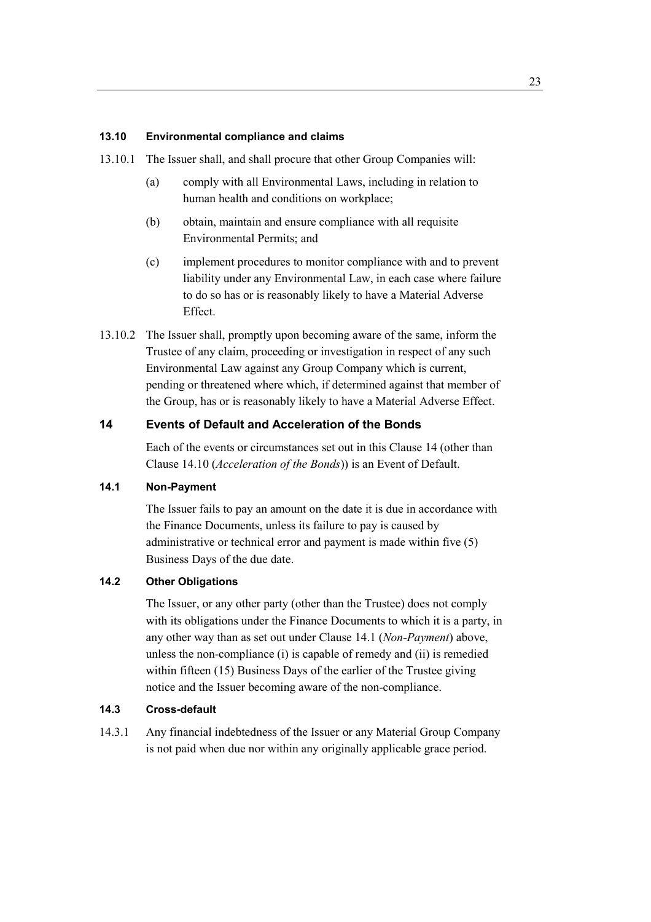#### **13.10 Environmental compliance and claims**

13.10.1 The Issuer shall, and shall procure that other Group Companies will:

- (a) comply with all Environmental Laws, including in relation to human health and conditions on workplace;
- (b) obtain, maintain and ensure compliance with all requisite Environmental Permits; and
- (c) implement procedures to monitor compliance with and to prevent liability under any Environmental Law, in each case where failure to do so has or is reasonably likely to have a Material Adverse Effect.
- 13.10.2 The Issuer shall, promptly upon becoming aware of the same, inform the Trustee of any claim, proceeding or investigation in respect of any such Environmental Law against any Group Company which is current, pending or threatened where which, if determined against that member of the Group, has or is reasonably likely to have a Material Adverse Effect.

## **14 Events of Default and Acceleration of the Bonds**

Each of the events or circumstances set out in this Clause 14 (other than Clause 14.10 (*Acceleration of the Bonds*)) is an Event of Default.

## **14.1 Non-Payment**

The Issuer fails to pay an amount on the date it is due in accordance with the Finance Documents, unless its failure to pay is caused by administrative or technical error and payment is made within five (5) Business Days of the due date.

# **14.2 Other Obligations**

The Issuer, or any other party (other than the Trustee) does not comply with its obligations under the Finance Documents to which it is a party, in any other way than as set out under Clause 14.1 (*Non-Payment*) above, unless the non-compliance (i) is capable of remedy and (ii) is remedied within fifteen (15) Business Days of the earlier of the Trustee giving notice and the Issuer becoming aware of the non-compliance.

#### **14.3 Cross-default**

14.3.1 Any financial indebtedness of the Issuer or any Material Group Company is not paid when due nor within any originally applicable grace period.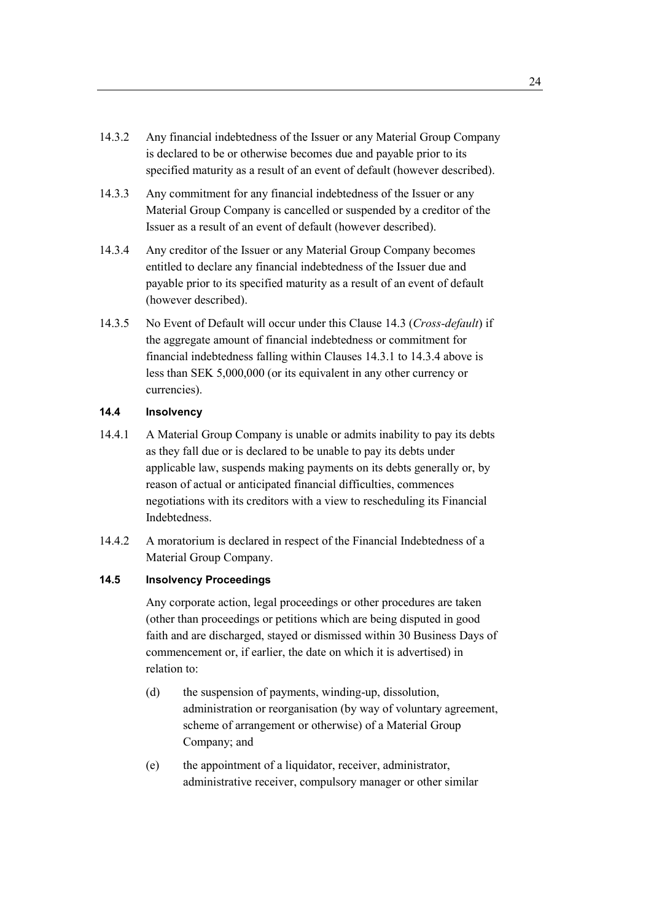- 14.3.2 Any financial indebtedness of the Issuer or any Material Group Company is declared to be or otherwise becomes due and payable prior to its specified maturity as a result of an event of default (however described).
- 14.3.3 Any commitment for any financial indebtedness of the Issuer or any Material Group Company is cancelled or suspended by a creditor of the Issuer as a result of an event of default (however described).
- 14.3.4 Any creditor of the Issuer or any Material Group Company becomes entitled to declare any financial indebtedness of the Issuer due and payable prior to its specified maturity as a result of an event of default (however described).
- 14.3.5 No Event of Default will occur under this Clause 14.3 (*Cross-default*) if the aggregate amount of financial indebtedness or commitment for financial indebtedness falling within Clauses 14.3.1 to 14.3.4 above is less than SEK 5,000,000 (or its equivalent in any other currency or currencies).

## **14.4 Insolvency**

- 14.4.1 A Material Group Company is unable or admits inability to pay its debts as they fall due or is declared to be unable to pay its debts under applicable law, suspends making payments on its debts generally or, by reason of actual or anticipated financial difficulties, commences negotiations with its creditors with a view to rescheduling its Financial Indebtedness.
- 14.4.2 A moratorium is declared in respect of the Financial Indebtedness of a Material Group Company.

## **14.5 Insolvency Proceedings**

Any corporate action, legal proceedings or other procedures are taken (other than proceedings or petitions which are being disputed in good faith and are discharged, stayed or dismissed within 30 Business Days of commencement or, if earlier, the date on which it is advertised) in relation to:

- (d) the suspension of payments, winding-up, dissolution, administration or reorganisation (by way of voluntary agreement, scheme of arrangement or otherwise) of a Material Group Company; and
- (e) the appointment of a liquidator, receiver, administrator, administrative receiver, compulsory manager or other similar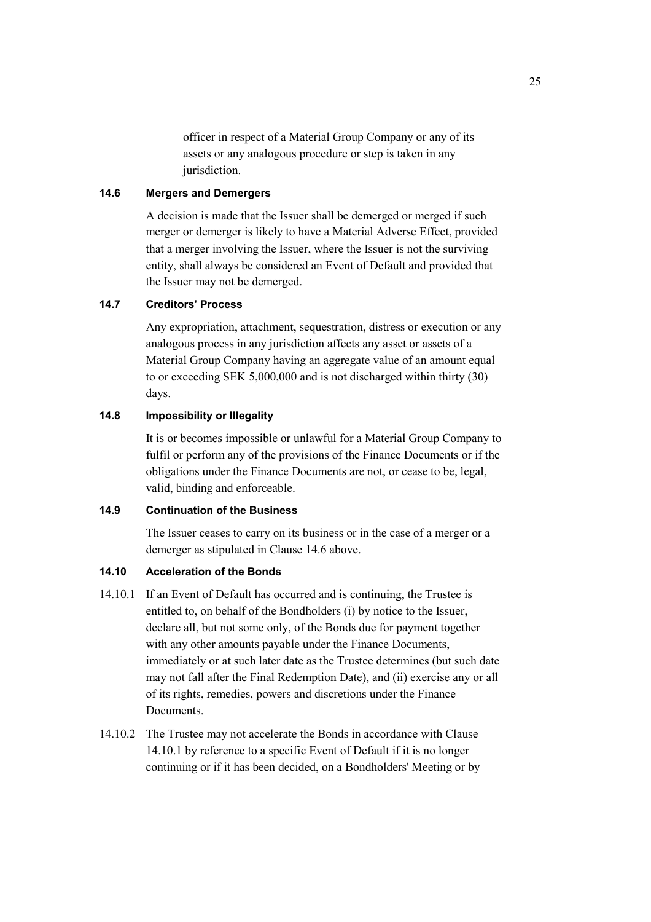officer in respect of a Material Group Company or any of its assets or any analogous procedure or step is taken in any jurisdiction.

#### **14.6 Mergers and Demergers**

A decision is made that the Issuer shall be demerged or merged if such merger or demerger is likely to have a Material Adverse Effect, provided that a merger involving the Issuer, where the Issuer is not the surviving entity, shall always be considered an Event of Default and provided that the Issuer may not be demerged.

#### **14.7 Creditors' Process**

Any expropriation, attachment, sequestration, distress or execution or any analogous process in any jurisdiction affects any asset or assets of a Material Group Company having an aggregate value of an amount equal to or exceeding SEK 5,000,000 and is not discharged within thirty (30) days.

## **14.8 Impossibility or Illegality**

It is or becomes impossible or unlawful for a Material Group Company to fulfil or perform any of the provisions of the Finance Documents or if the obligations under the Finance Documents are not, or cease to be, legal, valid, binding and enforceable.

## **14.9 Continuation of the Business**

The Issuer ceases to carry on its business or in the case of a merger or a demerger as stipulated in Clause 14.6 above.

#### **14.10 Acceleration of the Bonds**

- 14.10.1 If an Event of Default has occurred and is continuing, the Trustee is entitled to, on behalf of the Bondholders (i) by notice to the Issuer, declare all, but not some only, of the Bonds due for payment together with any other amounts payable under the Finance Documents, immediately or at such later date as the Trustee determines (but such date may not fall after the Final Redemption Date), and (ii) exercise any or all of its rights, remedies, powers and discretions under the Finance Documents.
- 14.10.2 The Trustee may not accelerate the Bonds in accordance with Clause 14.10.1 by reference to a specific Event of Default if it is no longer continuing or if it has been decided, on a Bondholders' Meeting or by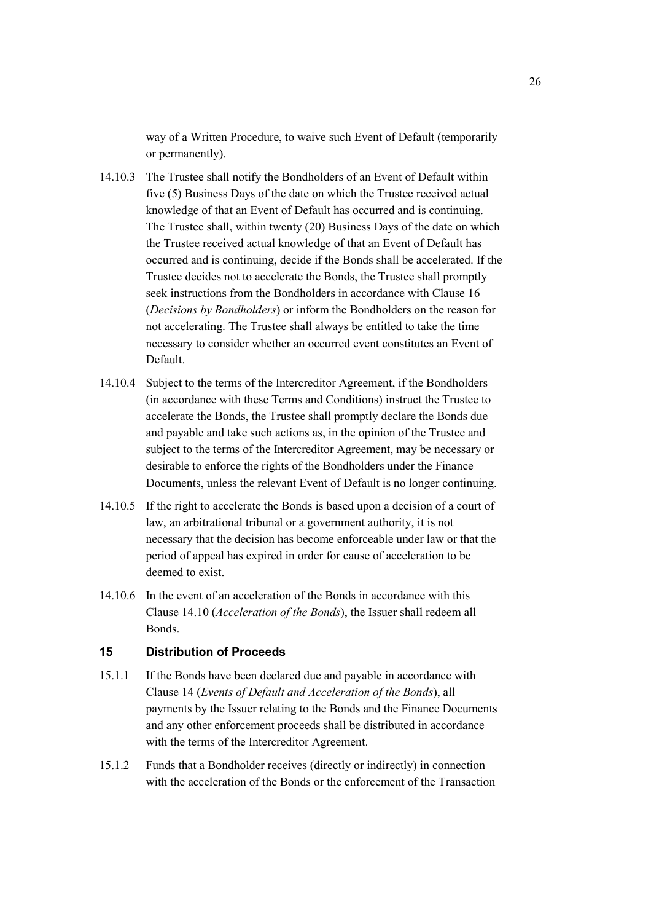way of a Written Procedure, to waive such Event of Default (temporarily or permanently).

- 14.10.3 The Trustee shall notify the Bondholders of an Event of Default within five (5) Business Days of the date on which the Trustee received actual knowledge of that an Event of Default has occurred and is continuing. The Trustee shall, within twenty (20) Business Days of the date on which the Trustee received actual knowledge of that an Event of Default has occurred and is continuing, decide if the Bonds shall be accelerated. If the Trustee decides not to accelerate the Bonds, the Trustee shall promptly seek instructions from the Bondholders in accordance with Clause 16 (*Decisions by Bondholders*) or inform the Bondholders on the reason for not accelerating. The Trustee shall always be entitled to take the time necessary to consider whether an occurred event constitutes an Event of Default.
- 14.10.4 Subject to the terms of the Intercreditor Agreement, if the Bondholders (in accordance with these Terms and Conditions) instruct the Trustee to accelerate the Bonds, the Trustee shall promptly declare the Bonds due and payable and take such actions as, in the opinion of the Trustee and subject to the terms of the Intercreditor Agreement, may be necessary or desirable to enforce the rights of the Bondholders under the Finance Documents, unless the relevant Event of Default is no longer continuing.
- 14.10.5 If the right to accelerate the Bonds is based upon a decision of a court of law, an arbitrational tribunal or a government authority, it is not necessary that the decision has become enforceable under law or that the period of appeal has expired in order for cause of acceleration to be deemed to exist.
- 14.10.6 In the event of an acceleration of the Bonds in accordance with this Clause 14.10 (*Acceleration of the Bonds*), the Issuer shall redeem all Bonds.

#### **15 Distribution of Proceeds**

- 15.1.1 If the Bonds have been declared due and payable in accordance with Clause 14 (*Events of Default and Acceleration of the Bonds*), all payments by the Issuer relating to the Bonds and the Finance Documents and any other enforcement proceeds shall be distributed in accordance with the terms of the Intercreditor Agreement.
- 15.1.2 Funds that a Bondholder receives (directly or indirectly) in connection with the acceleration of the Bonds or the enforcement of the Transaction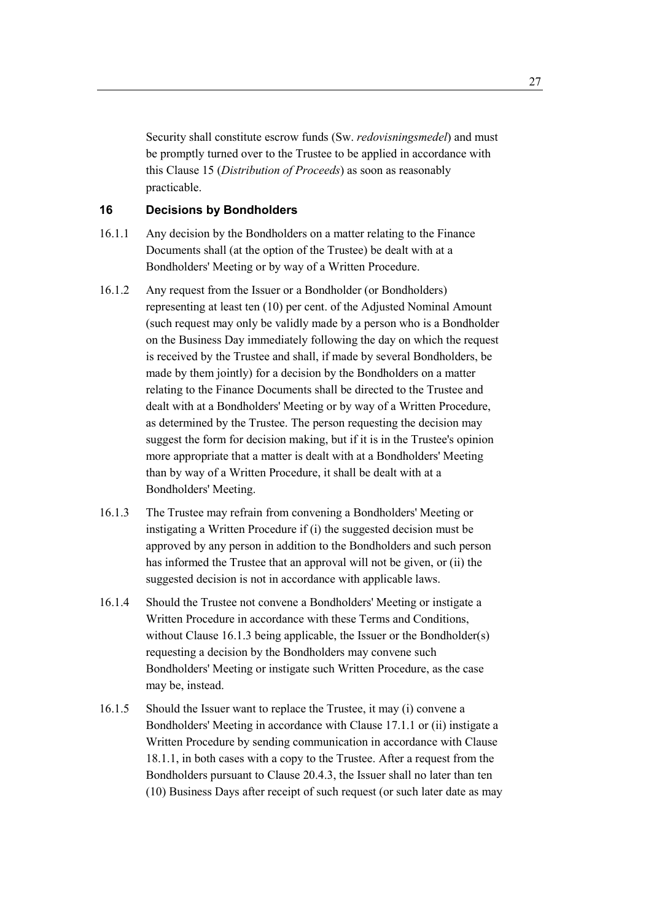Security shall constitute escrow funds (Sw. *redovisningsmedel*) and must be promptly turned over to the Trustee to be applied in accordance with this Clause 15 (*Distribution of Proceeds*) as soon as reasonably practicable.

# **16 Decisions by Bondholders**

- 16.1.1 Any decision by the Bondholders on a matter relating to the Finance Documents shall (at the option of the Trustee) be dealt with at a Bondholders' Meeting or by way of a Written Procedure.
- 16.1.2 Any request from the Issuer or a Bondholder (or Bondholders) representing at least ten (10) per cent. of the Adjusted Nominal Amount (such request may only be validly made by a person who is a Bondholder on the Business Day immediately following the day on which the request is received by the Trustee and shall, if made by several Bondholders, be made by them jointly) for a decision by the Bondholders on a matter relating to the Finance Documents shall be directed to the Trustee and dealt with at a Bondholders' Meeting or by way of a Written Procedure, as determined by the Trustee. The person requesting the decision may suggest the form for decision making, but if it is in the Trustee's opinion more appropriate that a matter is dealt with at a Bondholders' Meeting than by way of a Written Procedure, it shall be dealt with at a Bondholders' Meeting.
- 16.1.3 The Trustee may refrain from convening a Bondholders' Meeting or instigating a Written Procedure if (i) the suggested decision must be approved by any person in addition to the Bondholders and such person has informed the Trustee that an approval will not be given, or (ii) the suggested decision is not in accordance with applicable laws.
- 16.1.4 Should the Trustee not convene a Bondholders' Meeting or instigate a Written Procedure in accordance with these Terms and Conditions, without Clause 16.1.3 being applicable, the Issuer or the Bondholder(s) requesting a decision by the Bondholders may convene such Bondholders' Meeting or instigate such Written Procedure, as the case may be, instead.
- 16.1.5 Should the Issuer want to replace the Trustee, it may (i) convene a Bondholders' Meeting in accordance with Clause 17.1.1 or (ii) instigate a Written Procedure by sending communication in accordance with Clause 18.1.1, in both cases with a copy to the Trustee. After a request from the Bondholders pursuant to Clause 20.4.3, the Issuer shall no later than ten (10) Business Days after receipt of such request (or such later date as may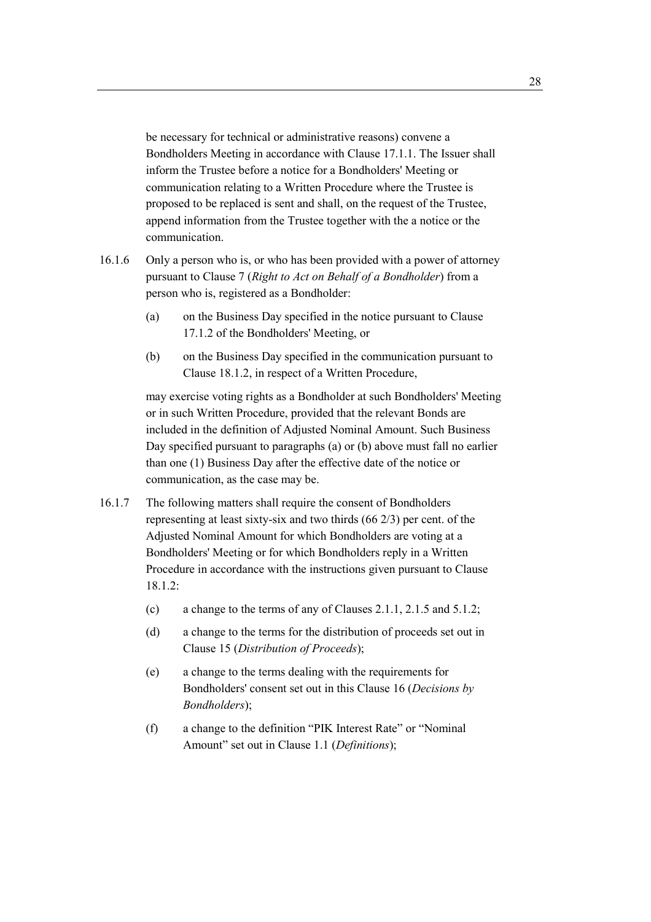be necessary for technical or administrative reasons) convene a Bondholders Meeting in accordance with Clause 17.1.1. The Issuer shall inform the Trustee before a notice for a Bondholders' Meeting or communication relating to a Written Procedure where the Trustee is proposed to be replaced is sent and shall, on the request of the Trustee, append information from the Trustee together with the a notice or the communication.

- 16.1.6 Only a person who is, or who has been provided with a power of attorney pursuant to Clause 7 (*Right to Act on Behalf of a Bondholder*) from a person who is, registered as a Bondholder:
	- (a) on the Business Day specified in the notice pursuant to Clause 17.1.2 of the Bondholders' Meeting, or
	- (b) on the Business Day specified in the communication pursuant to Clause 18.1.2, in respect of a Written Procedure,

may exercise voting rights as a Bondholder at such Bondholders' Meeting or in such Written Procedure, provided that the relevant Bonds are included in the definition of Adjusted Nominal Amount. Such Business Day specified pursuant to paragraphs (a) or (b) above must fall no earlier than one (1) Business Day after the effective date of the notice or communication, as the case may be.

- 16.1.7 The following matters shall require the consent of Bondholders representing at least sixty-six and two thirds (66 2/3) per cent. of the Adjusted Nominal Amount for which Bondholders are voting at a Bondholders' Meeting or for which Bondholders reply in a Written Procedure in accordance with the instructions given pursuant to Clause 18.1.2:
	- (c) a change to the terms of any of Clauses 2.1.1, 2.1.5 and 5.1.2;
	- (d) a change to the terms for the distribution of proceeds set out in Clause 15 (*Distribution of Proceeds*);
	- (e) a change to the terms dealing with the requirements for Bondholders' consent set out in this Clause 16 (*Decisions by Bondholders*);
	- (f) a change to the definition "PIK Interest Rate" or "Nominal Amount" set out in Clause 1.1 (*Definitions*);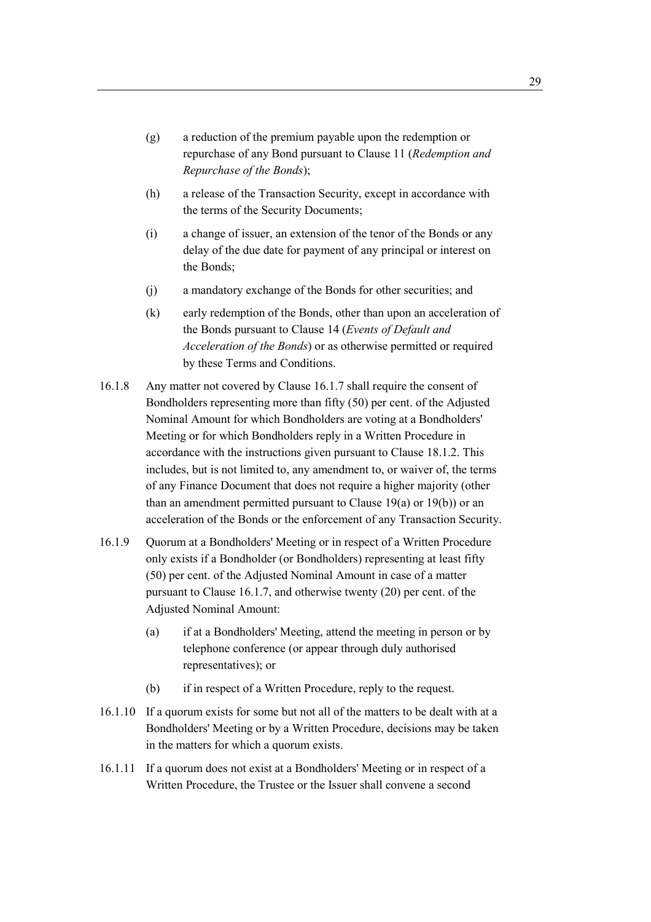- (g) a reduction of the premium payable upon the redemption or repurchase of any Bond pursuant to Clause 11 (*Redemption and Repurchase of the Bonds*);
- (h) a release of the Transaction Security, except in accordance with the terms of the Security Documents;
- (i) a change of issuer, an extension of the tenor of the Bonds or any delay of the due date for payment of any principal or interest on the Bonds;
- (j) a mandatory exchange of the Bonds for other securities; and
- (k) early redemption of the Bonds, other than upon an acceleration of the Bonds pursuant to Clause 14 (*Events of Default and Acceleration of the Bonds*) or as otherwise permitted or required by these Terms and Conditions.
- 16.1.8 Any matter not covered by Clause 16.1.7 shall require the consent of Bondholders representing more than fifty (50) per cent. of the Adjusted Nominal Amount for which Bondholders are voting at a Bondholders' Meeting or for which Bondholders reply in a Written Procedure in accordance with the instructions given pursuant to Clause 18.1.2. This includes, but is not limited to, any amendment to, or waiver of, the terms of any Finance Document that does not require a higher majority (other than an amendment permitted pursuant to Clause  $19(a)$  or  $19(b)$ ) or an acceleration of the Bonds or the enforcement of any Transaction Security.
- 16.1.9 Quorum at a Bondholders' Meeting or in respect of a Written Procedure only exists if a Bondholder (or Bondholders) representing at least fifty (50) per cent. of the Adjusted Nominal Amount in case of a matter pursuant to Clause 16.1.7, and otherwise twenty (20) per cent. of the Adjusted Nominal Amount:
	- (a) if at a Bondholders' Meeting, attend the meeting in person or by telephone conference (or appear through duly authorised representatives); or
	- (b) if in respect of a Written Procedure, reply to the request.
- 16.1.10 If a quorum exists for some but not all of the matters to be dealt with at a Bondholders' Meeting or by a Written Procedure, decisions may be taken in the matters for which a quorum exists.
- 16.1.11 If a quorum does not exist at a Bondholders' Meeting or in respect of a Written Procedure, the Trustee or the Issuer shall convene a second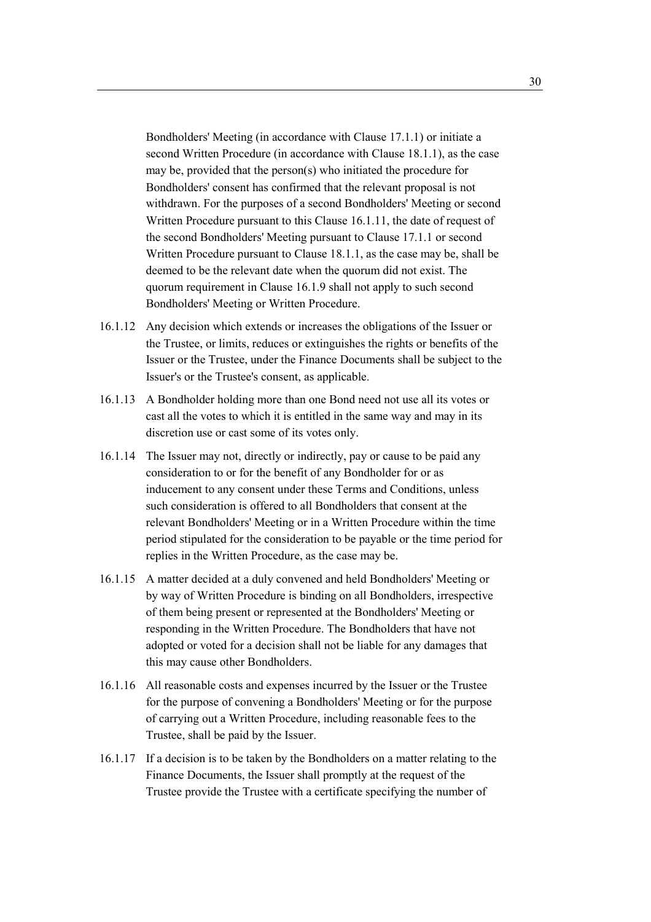Bondholders' Meeting (in accordance with Clause 17.1.1) or initiate a second Written Procedure (in accordance with Clause 18.1.1), as the case may be, provided that the person(s) who initiated the procedure for Bondholders' consent has confirmed that the relevant proposal is not withdrawn. For the purposes of a second Bondholders' Meeting or second Written Procedure pursuant to this Clause 16.1.11, the date of request of the second Bondholders' Meeting pursuant to Clause 17.1.1 or second Written Procedure pursuant to Clause 18.1.1, as the case may be, shall be deemed to be the relevant date when the quorum did not exist. The quorum requirement in Clause 16.1.9 shall not apply to such second Bondholders' Meeting or Written Procedure.

- 16.1.12 Any decision which extends or increases the obligations of the Issuer or the Trustee, or limits, reduces or extinguishes the rights or benefits of the Issuer or the Trustee, under the Finance Documents shall be subject to the Issuer's or the Trustee's consent, as applicable.
- 16.1.13 A Bondholder holding more than one Bond need not use all its votes or cast all the votes to which it is entitled in the same way and may in its discretion use or cast some of its votes only.
- 16.1.14 The Issuer may not, directly or indirectly, pay or cause to be paid any consideration to or for the benefit of any Bondholder for or as inducement to any consent under these Terms and Conditions, unless such consideration is offered to all Bondholders that consent at the relevant Bondholders' Meeting or in a Written Procedure within the time period stipulated for the consideration to be payable or the time period for replies in the Written Procedure, as the case may be.
- 16.1.15 A matter decided at a duly convened and held Bondholders' Meeting or by way of Written Procedure is binding on all Bondholders, irrespective of them being present or represented at the Bondholders' Meeting or responding in the Written Procedure. The Bondholders that have not adopted or voted for a decision shall not be liable for any damages that this may cause other Bondholders.
- 16.1.16 All reasonable costs and expenses incurred by the Issuer or the Trustee for the purpose of convening a Bondholders' Meeting or for the purpose of carrying out a Written Procedure, including reasonable fees to the Trustee, shall be paid by the Issuer.
- 16.1.17 If a decision is to be taken by the Bondholders on a matter relating to the Finance Documents, the Issuer shall promptly at the request of the Trustee provide the Trustee with a certificate specifying the number of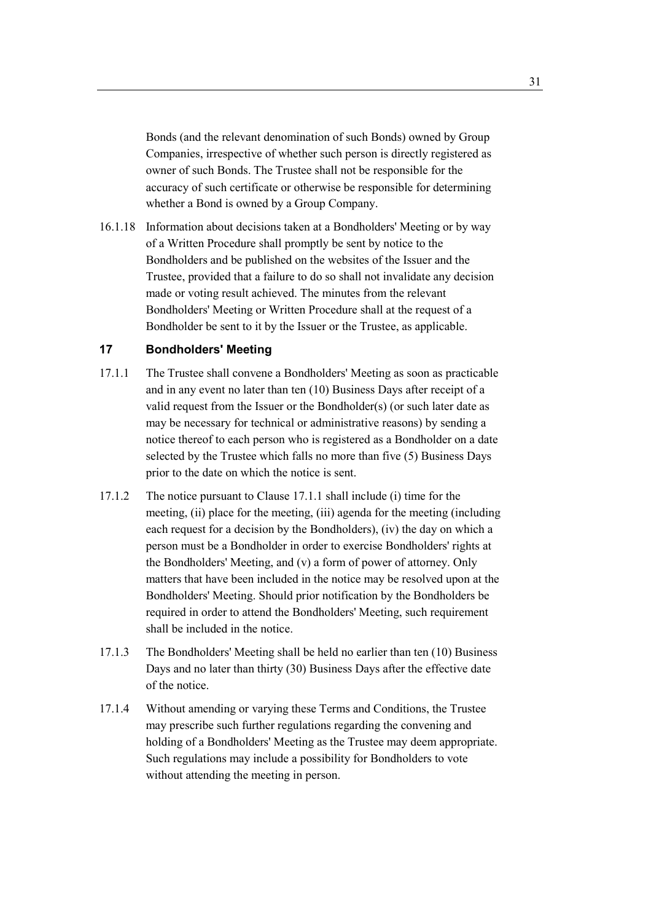Bonds (and the relevant denomination of such Bonds) owned by Group Companies, irrespective of whether such person is directly registered as owner of such Bonds. The Trustee shall not be responsible for the accuracy of such certificate or otherwise be responsible for determining whether a Bond is owned by a Group Company.

16.1.18 Information about decisions taken at a Bondholders' Meeting or by way of a Written Procedure shall promptly be sent by notice to the Bondholders and be published on the websites of the Issuer and the Trustee, provided that a failure to do so shall not invalidate any decision made or voting result achieved. The minutes from the relevant Bondholders' Meeting or Written Procedure shall at the request of a Bondholder be sent to it by the Issuer or the Trustee, as applicable.

# **17 Bondholders' Meeting**

- 17.1.1 The Trustee shall convene a Bondholders' Meeting as soon as practicable and in any event no later than ten (10) Business Days after receipt of a valid request from the Issuer or the Bondholder(s) (or such later date as may be necessary for technical or administrative reasons) by sending a notice thereof to each person who is registered as a Bondholder on a date selected by the Trustee which falls no more than five (5) Business Days prior to the date on which the notice is sent.
- 17.1.2 The notice pursuant to Clause 17.1.1 shall include (i) time for the meeting, (ii) place for the meeting, (iii) agenda for the meeting (including each request for a decision by the Bondholders), (iv) the day on which a person must be a Bondholder in order to exercise Bondholders' rights at the Bondholders' Meeting, and (v) a form of power of attorney. Only matters that have been included in the notice may be resolved upon at the Bondholders' Meeting. Should prior notification by the Bondholders be required in order to attend the Bondholders' Meeting, such requirement shall be included in the notice.
- 17.1.3 The Bondholders' Meeting shall be held no earlier than ten (10) Business Days and no later than thirty (30) Business Days after the effective date of the notice.
- 17.1.4 Without amending or varying these Terms and Conditions, the Trustee may prescribe such further regulations regarding the convening and holding of a Bondholders' Meeting as the Trustee may deem appropriate. Such regulations may include a possibility for Bondholders to vote without attending the meeting in person.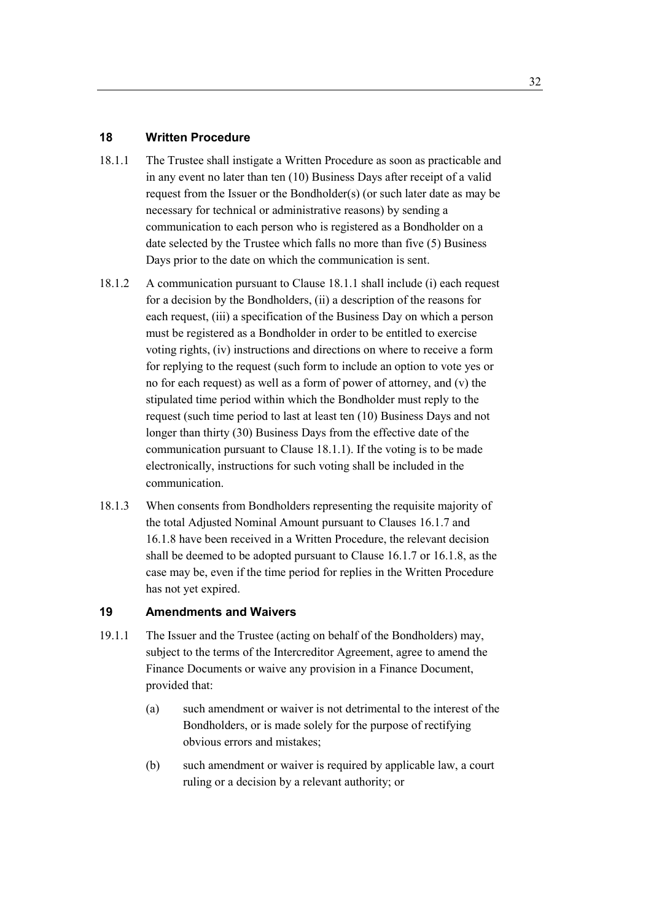## **18 Written Procedure**

- 18.1.1 The Trustee shall instigate a Written Procedure as soon as practicable and in any event no later than ten (10) Business Days after receipt of a valid request from the Issuer or the Bondholder(s) (or such later date as may be necessary for technical or administrative reasons) by sending a communication to each person who is registered as a Bondholder on a date selected by the Trustee which falls no more than five (5) Business Days prior to the date on which the communication is sent.
- 18.1.2 A communication pursuant to Clause 18.1.1 shall include (i) each request for a decision by the Bondholders, (ii) a description of the reasons for each request, (iii) a specification of the Business Day on which a person must be registered as a Bondholder in order to be entitled to exercise voting rights, (iv) instructions and directions on where to receive a form for replying to the request (such form to include an option to vote yes or no for each request) as well as a form of power of attorney, and (v) the stipulated time period within which the Bondholder must reply to the request (such time period to last at least ten (10) Business Days and not longer than thirty (30) Business Days from the effective date of the communication pursuant to Clause 18.1.1). If the voting is to be made electronically, instructions for such voting shall be included in the communication.
- 18.1.3 When consents from Bondholders representing the requisite majority of the total Adjusted Nominal Amount pursuant to Clauses 16.1.7 and 16.1.8 have been received in a Written Procedure, the relevant decision shall be deemed to be adopted pursuant to Clause 16.1.7 or 16.1.8, as the case may be, even if the time period for replies in the Written Procedure has not yet expired.

## **19 Amendments and Waivers**

- 19.1.1 The Issuer and the Trustee (acting on behalf of the Bondholders) may, subject to the terms of the Intercreditor Agreement, agree to amend the Finance Documents or waive any provision in a Finance Document, provided that:
	- (a) such amendment or waiver is not detrimental to the interest of the Bondholders, or is made solely for the purpose of rectifying obvious errors and mistakes;
	- (b) such amendment or waiver is required by applicable law, a court ruling or a decision by a relevant authority; or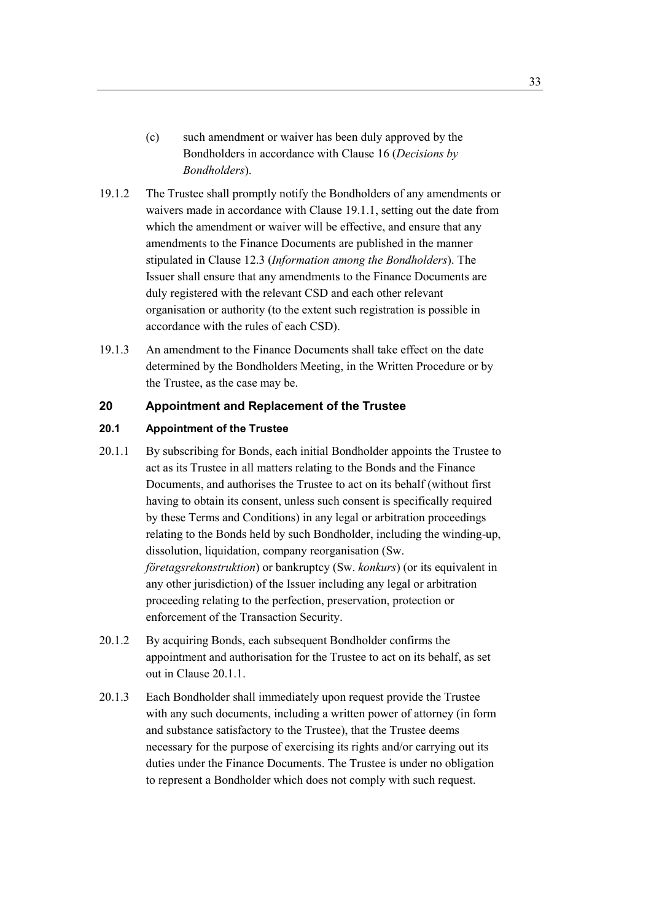- (c) such amendment or waiver has been duly approved by the Bondholders in accordance with Clause 16 (*Decisions by Bondholders*).
- 19.1.2 The Trustee shall promptly notify the Bondholders of any amendments or waivers made in accordance with Clause 19.1.1, setting out the date from which the amendment or waiver will be effective, and ensure that any amendments to the Finance Documents are published in the manner stipulated in Clause 12.3 (*Information among the Bondholders*). The Issuer shall ensure that any amendments to the Finance Documents are duly registered with the relevant CSD and each other relevant organisation or authority (to the extent such registration is possible in accordance with the rules of each CSD).
- 19.1.3 An amendment to the Finance Documents shall take effect on the date determined by the Bondholders Meeting, in the Written Procedure or by the Trustee, as the case may be.

# **20 Appointment and Replacement of the Trustee**

#### **20.1 Appointment of the Trustee**

- 20.1.1 By subscribing for Bonds, each initial Bondholder appoints the Trustee to act as its Trustee in all matters relating to the Bonds and the Finance Documents, and authorises the Trustee to act on its behalf (without first having to obtain its consent, unless such consent is specifically required by these Terms and Conditions) in any legal or arbitration proceedings relating to the Bonds held by such Bondholder, including the winding-up, dissolution, liquidation, company reorganisation (Sw. *företagsrekonstruktion*) or bankruptcy (Sw. *konkurs*) (or its equivalent in any other jurisdiction) of the Issuer including any legal or arbitration proceeding relating to the perfection, preservation, protection or enforcement of the Transaction Security.
- 20.1.2 By acquiring Bonds, each subsequent Bondholder confirms the appointment and authorisation for the Trustee to act on its behalf, as set out in Clause 20.1.1.
- 20.1.3 Each Bondholder shall immediately upon request provide the Trustee with any such documents, including a written power of attorney (in form and substance satisfactory to the Trustee), that the Trustee deems necessary for the purpose of exercising its rights and/or carrying out its duties under the Finance Documents. The Trustee is under no obligation to represent a Bondholder which does not comply with such request.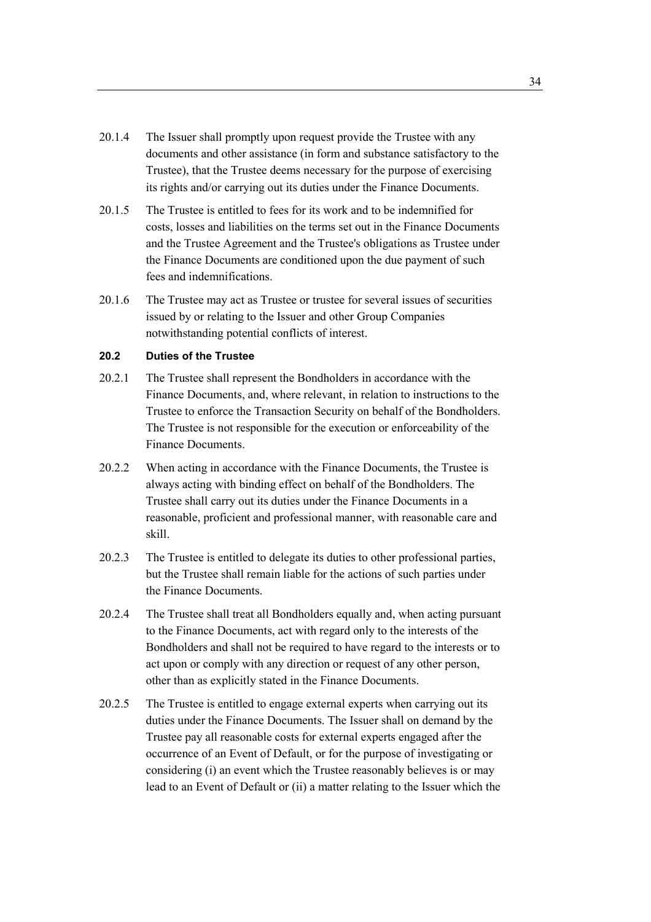- 20.1.4 The Issuer shall promptly upon request provide the Trustee with any documents and other assistance (in form and substance satisfactory to the Trustee), that the Trustee deems necessary for the purpose of exercising its rights and/or carrying out its duties under the Finance Documents.
- 20.1.5 The Trustee is entitled to fees for its work and to be indemnified for costs, losses and liabilities on the terms set out in the Finance Documents and the Trustee Agreement and the Trustee's obligations as Trustee under the Finance Documents are conditioned upon the due payment of such fees and indemnifications.
- 20.1.6 The Trustee may act as Trustee or trustee for several issues of securities issued by or relating to the Issuer and other Group Companies notwithstanding potential conflicts of interest.

## **20.2 Duties of the Trustee**

- 20.2.1 The Trustee shall represent the Bondholders in accordance with the Finance Documents, and, where relevant, in relation to instructions to the Trustee to enforce the Transaction Security on behalf of the Bondholders. The Trustee is not responsible for the execution or enforceability of the Finance Documents.
- 20.2.2 When acting in accordance with the Finance Documents, the Trustee is always acting with binding effect on behalf of the Bondholders. The Trustee shall carry out its duties under the Finance Documents in a reasonable, proficient and professional manner, with reasonable care and skill.
- 20.2.3 The Trustee is entitled to delegate its duties to other professional parties, but the Trustee shall remain liable for the actions of such parties under the Finance Documents.
- 20.2.4 The Trustee shall treat all Bondholders equally and, when acting pursuant to the Finance Documents, act with regard only to the interests of the Bondholders and shall not be required to have regard to the interests or to act upon or comply with any direction or request of any other person, other than as explicitly stated in the Finance Documents.
- 20.2.5 The Trustee is entitled to engage external experts when carrying out its duties under the Finance Documents. The Issuer shall on demand by the Trustee pay all reasonable costs for external experts engaged after the occurrence of an Event of Default, or for the purpose of investigating or considering (i) an event which the Trustee reasonably believes is or may lead to an Event of Default or (ii) a matter relating to the Issuer which the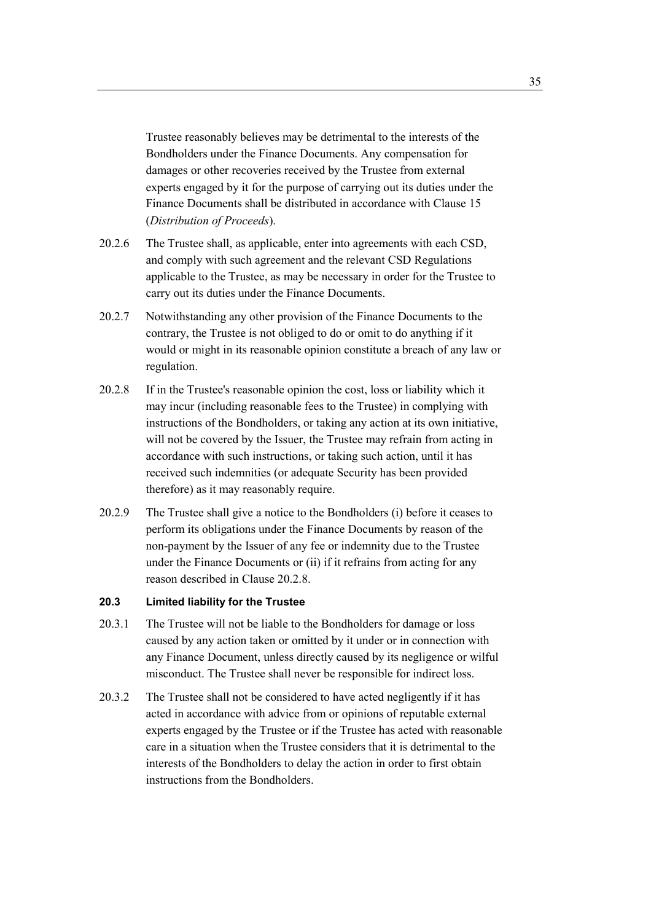Trustee reasonably believes may be detrimental to the interests of the Bondholders under the Finance Documents. Any compensation for damages or other recoveries received by the Trustee from external experts engaged by it for the purpose of carrying out its duties under the Finance Documents shall be distributed in accordance with Clause 15 (*Distribution of Proceeds*).

- 20.2.6 The Trustee shall, as applicable, enter into agreements with each CSD, and comply with such agreement and the relevant CSD Regulations applicable to the Trustee, as may be necessary in order for the Trustee to carry out its duties under the Finance Documents.
- 20.2.7 Notwithstanding any other provision of the Finance Documents to the contrary, the Trustee is not obliged to do or omit to do anything if it would or might in its reasonable opinion constitute a breach of any law or regulation.
- 20.2.8 If in the Trustee's reasonable opinion the cost, loss or liability which it may incur (including reasonable fees to the Trustee) in complying with instructions of the Bondholders, or taking any action at its own initiative, will not be covered by the Issuer, the Trustee may refrain from acting in accordance with such instructions, or taking such action, until it has received such indemnities (or adequate Security has been provided therefore) as it may reasonably require.
- 20.2.9 The Trustee shall give a notice to the Bondholders (i) before it ceases to perform its obligations under the Finance Documents by reason of the non-payment by the Issuer of any fee or indemnity due to the Trustee under the Finance Documents or (ii) if it refrains from acting for any reason described in Clause 20.2.8.

## **20.3 Limited liability for the Trustee**

- 20.3.1 The Trustee will not be liable to the Bondholders for damage or loss caused by any action taken or omitted by it under or in connection with any Finance Document, unless directly caused by its negligence or wilful misconduct. The Trustee shall never be responsible for indirect loss.
- 20.3.2 The Trustee shall not be considered to have acted negligently if it has acted in accordance with advice from or opinions of reputable external experts engaged by the Trustee or if the Trustee has acted with reasonable care in a situation when the Trustee considers that it is detrimental to the interests of the Bondholders to delay the action in order to first obtain instructions from the Bondholders.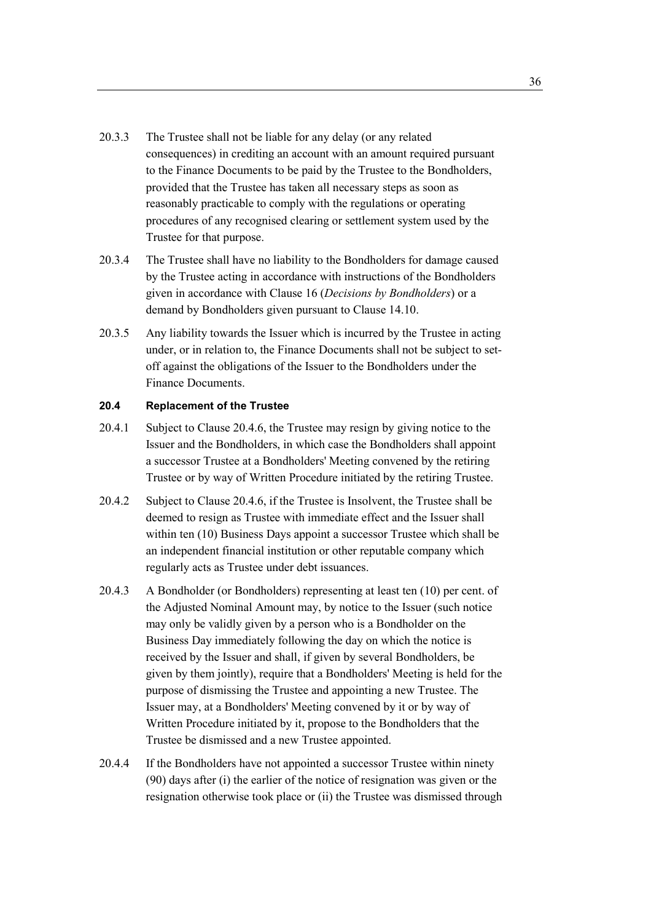- 20.3.3 The Trustee shall not be liable for any delay (or any related consequences) in crediting an account with an amount required pursuant to the Finance Documents to be paid by the Trustee to the Bondholders, provided that the Trustee has taken all necessary steps as soon as reasonably practicable to comply with the regulations or operating procedures of any recognised clearing or settlement system used by the Trustee for that purpose.
- 20.3.4 The Trustee shall have no liability to the Bondholders for damage caused by the Trustee acting in accordance with instructions of the Bondholders given in accordance with Clause 16 (*Decisions by Bondholders*) or a demand by Bondholders given pursuant to Clause 14.10.
- 20.3.5 Any liability towards the Issuer which is incurred by the Trustee in acting under, or in relation to, the Finance Documents shall not be subject to setoff against the obligations of the Issuer to the Bondholders under the Finance Documents.

#### **20.4 Replacement of the Trustee**

- 20.4.1 Subject to Clause 20.4.6, the Trustee may resign by giving notice to the Issuer and the Bondholders, in which case the Bondholders shall appoint a successor Trustee at a Bondholders' Meeting convened by the retiring Trustee or by way of Written Procedure initiated by the retiring Trustee.
- 20.4.2 Subject to Clause 20.4.6, if the Trustee is Insolvent, the Trustee shall be deemed to resign as Trustee with immediate effect and the Issuer shall within ten (10) Business Days appoint a successor Trustee which shall be an independent financial institution or other reputable company which regularly acts as Trustee under debt issuances.
- 20.4.3 A Bondholder (or Bondholders) representing at least ten (10) per cent. of the Adjusted Nominal Amount may, by notice to the Issuer (such notice may only be validly given by a person who is a Bondholder on the Business Day immediately following the day on which the notice is received by the Issuer and shall, if given by several Bondholders, be given by them jointly), require that a Bondholders' Meeting is held for the purpose of dismissing the Trustee and appointing a new Trustee. The Issuer may, at a Bondholders' Meeting convened by it or by way of Written Procedure initiated by it, propose to the Bondholders that the Trustee be dismissed and a new Trustee appointed.
- 20.4.4 If the Bondholders have not appointed a successor Trustee within ninety (90) days after (i) the earlier of the notice of resignation was given or the resignation otherwise took place or (ii) the Trustee was dismissed through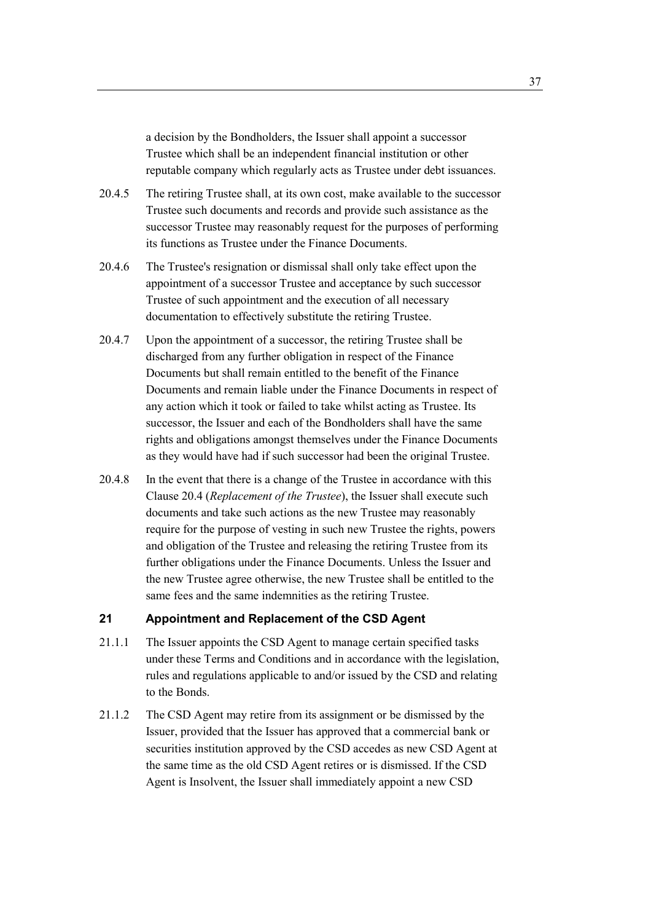a decision by the Bondholders, the Issuer shall appoint a successor Trustee which shall be an independent financial institution or other reputable company which regularly acts as Trustee under debt issuances.

- 20.4.5 The retiring Trustee shall, at its own cost, make available to the successor Trustee such documents and records and provide such assistance as the successor Trustee may reasonably request for the purposes of performing its functions as Trustee under the Finance Documents.
- 20.4.6 The Trustee's resignation or dismissal shall only take effect upon the appointment of a successor Trustee and acceptance by such successor Trustee of such appointment and the execution of all necessary documentation to effectively substitute the retiring Trustee.
- 20.4.7 Upon the appointment of a successor, the retiring Trustee shall be discharged from any further obligation in respect of the Finance Documents but shall remain entitled to the benefit of the Finance Documents and remain liable under the Finance Documents in respect of any action which it took or failed to take whilst acting as Trustee. Its successor, the Issuer and each of the Bondholders shall have the same rights and obligations amongst themselves under the Finance Documents as they would have had if such successor had been the original Trustee.
- 20.4.8 In the event that there is a change of the Trustee in accordance with this Clause 20.4 (*Replacement of the Trustee*), the Issuer shall execute such documents and take such actions as the new Trustee may reasonably require for the purpose of vesting in such new Trustee the rights, powers and obligation of the Trustee and releasing the retiring Trustee from its further obligations under the Finance Documents. Unless the Issuer and the new Trustee agree otherwise, the new Trustee shall be entitled to the same fees and the same indemnities as the retiring Trustee.

# **21 Appointment and Replacement of the CSD Agent**

- 21.1.1 The Issuer appoints the CSD Agent to manage certain specified tasks under these Terms and Conditions and in accordance with the legislation, rules and regulations applicable to and/or issued by the CSD and relating to the Bonds.
- 21.1.2 The CSD Agent may retire from its assignment or be dismissed by the Issuer, provided that the Issuer has approved that a commercial bank or securities institution approved by the CSD accedes as new CSD Agent at the same time as the old CSD Agent retires or is dismissed. If the CSD Agent is Insolvent, the Issuer shall immediately appoint a new CSD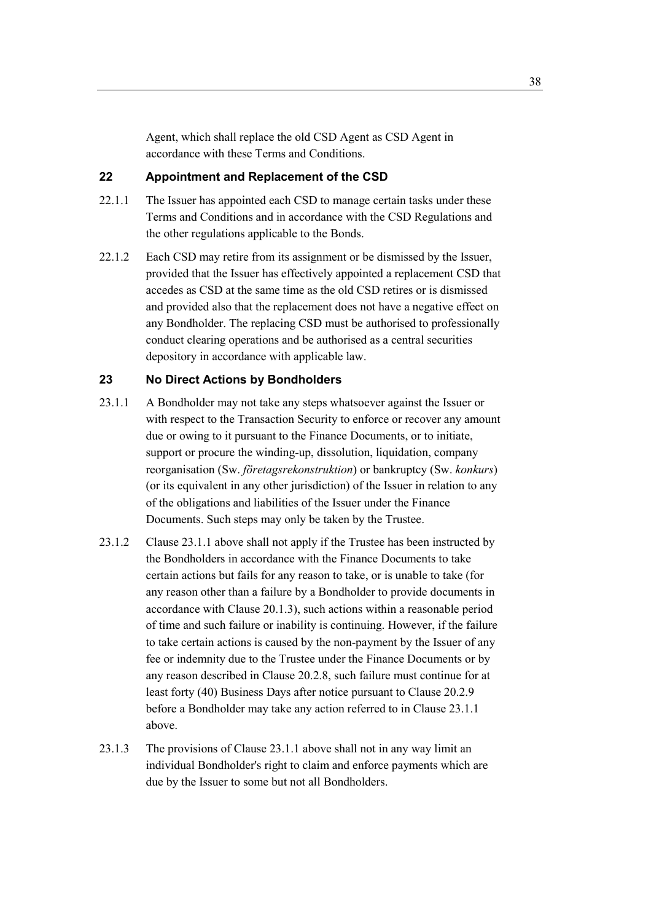Agent, which shall replace the old CSD Agent as CSD Agent in accordance with these Terms and Conditions.

# **22 Appointment and Replacement of the CSD**

- 22.1.1 The Issuer has appointed each CSD to manage certain tasks under these Terms and Conditions and in accordance with the CSD Regulations and the other regulations applicable to the Bonds.
- 22.1.2 Each CSD may retire from its assignment or be dismissed by the Issuer, provided that the Issuer has effectively appointed a replacement CSD that accedes as CSD at the same time as the old CSD retires or is dismissed and provided also that the replacement does not have a negative effect on any Bondholder. The replacing CSD must be authorised to professionally conduct clearing operations and be authorised as a central securities depository in accordance with applicable law.

#### **23 No Direct Actions by Bondholders**

- 23.1.1 A Bondholder may not take any steps whatsoever against the Issuer or with respect to the Transaction Security to enforce or recover any amount due or owing to it pursuant to the Finance Documents, or to initiate, support or procure the winding-up, dissolution, liquidation, company reorganisation (Sw. *företagsrekonstruktion*) or bankruptcy (Sw. *konkurs*) (or its equivalent in any other jurisdiction) of the Issuer in relation to any of the obligations and liabilities of the Issuer under the Finance Documents. Such steps may only be taken by the Trustee.
- 23.1.2 Clause 23.1.1 above shall not apply if the Trustee has been instructed by the Bondholders in accordance with the Finance Documents to take certain actions but fails for any reason to take, or is unable to take (for any reason other than a failure by a Bondholder to provide documents in accordance with Clause 20.1.3), such actions within a reasonable period of time and such failure or inability is continuing. However, if the failure to take certain actions is caused by the non-payment by the Issuer of any fee or indemnity due to the Trustee under the Finance Documents or by any reason described in Clause 20.2.8, such failure must continue for at least forty (40) Business Days after notice pursuant to Clause 20.2.9 before a Bondholder may take any action referred to in Clause 23.1.1 above.
- 23.1.3 The provisions of Clause 23.1.1 above shall not in any way limit an individual Bondholder's right to claim and enforce payments which are due by the Issuer to some but not all Bondholders.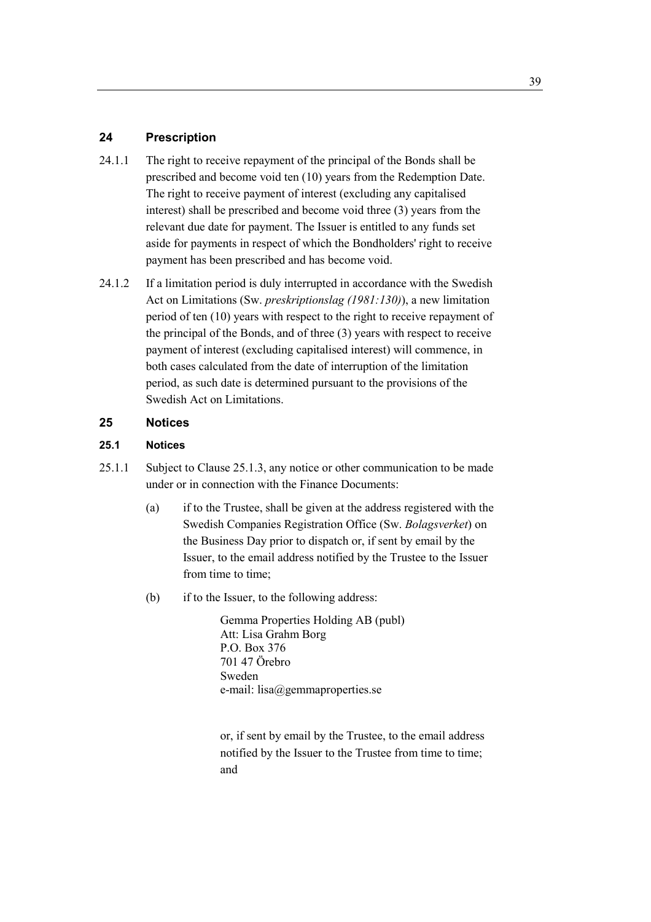# **24 Prescription**

- 24.1.1 The right to receive repayment of the principal of the Bonds shall be prescribed and become void ten (10) years from the Redemption Date. The right to receive payment of interest (excluding any capitalised interest) shall be prescribed and become void three (3) years from the relevant due date for payment. The Issuer is entitled to any funds set aside for payments in respect of which the Bondholders' right to receive payment has been prescribed and has become void.
- 24.1.2 If a limitation period is duly interrupted in accordance with the Swedish Act on Limitations (Sw. *preskriptionslag (1981:130)*), a new limitation period of ten (10) years with respect to the right to receive repayment of the principal of the Bonds, and of three (3) years with respect to receive payment of interest (excluding capitalised interest) will commence, in both cases calculated from the date of interruption of the limitation period, as such date is determined pursuant to the provisions of the Swedish Act on Limitations.

## **25 Notices**

## **25.1 Notices**

- 25.1.1 Subject to Clause 25.1.3, any notice or other communication to be made under or in connection with the Finance Documents:
	- (a) if to the Trustee, shall be given at the address registered with the Swedish Companies Registration Office (Sw. *Bolagsverket*) on the Business Day prior to dispatch or, if sent by email by the Issuer, to the email address notified by the Trustee to the Issuer from time to time;
	- (b) if to the Issuer, to the following address:

Gemma Properties Holding AB (publ) Att: Lisa Grahm Borg P.O. Box 376 701 47 Örebro Sweden e-mail: lisa@gemmaproperties.se

or, if sent by email by the Trustee, to the email address notified by the Issuer to the Trustee from time to time; and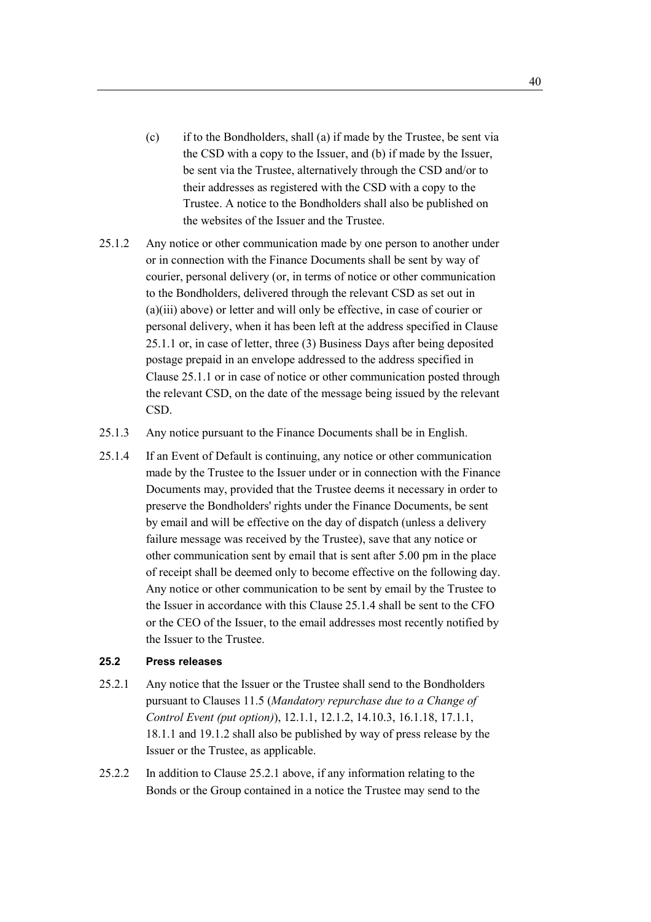- (c) if to the Bondholders, shall (a) if made by the Trustee, be sent via the CSD with a copy to the Issuer, and (b) if made by the Issuer, be sent via the Trustee, alternatively through the CSD and/or to their addresses as registered with the CSD with a copy to the Trustee. A notice to the Bondholders shall also be published on the websites of the Issuer and the Trustee.
- 25.1.2 Any notice or other communication made by one person to another under or in connection with the Finance Documents shall be sent by way of courier, personal delivery (or, in terms of notice or other communication to the Bondholders, delivered through the relevant CSD as set out in (a)(iii) above) or letter and will only be effective, in case of courier or personal delivery, when it has been left at the address specified in Clause 25.1.1 or, in case of letter, three (3) Business Days after being deposited postage prepaid in an envelope addressed to the address specified in Clause 25.1.1 or in case of notice or other communication posted through the relevant CSD, on the date of the message being issued by the relevant CSD.
- 25.1.3 Any notice pursuant to the Finance Documents shall be in English.
- 25.1.4 If an Event of Default is continuing, any notice or other communication made by the Trustee to the Issuer under or in connection with the Finance Documents may, provided that the Trustee deems it necessary in order to preserve the Bondholders' rights under the Finance Documents, be sent by email and will be effective on the day of dispatch (unless a delivery failure message was received by the Trustee), save that any notice or other communication sent by email that is sent after 5.00 pm in the place of receipt shall be deemed only to become effective on the following day. Any notice or other communication to be sent by email by the Trustee to the Issuer in accordance with this Clause 25.1.4 shall be sent to the CFO or the CEO of the Issuer, to the email addresses most recently notified by the Issuer to the Trustee.

#### **25.2 Press releases**

- 25.2.1 Any notice that the Issuer or the Trustee shall send to the Bondholders pursuant to Clauses 11.5 (*Mandatory repurchase due to a Change of Control Event (put option)*), 12.1.1, 12.1.2, 14.10.3, 16.1.18, 17.1.1, 18.1.1 and 19.1.2 shall also be published by way of press release by the Issuer or the Trustee, as applicable.
- 25.2.2 In addition to Clause 25.2.1 above, if any information relating to the Bonds or the Group contained in a notice the Trustee may send to the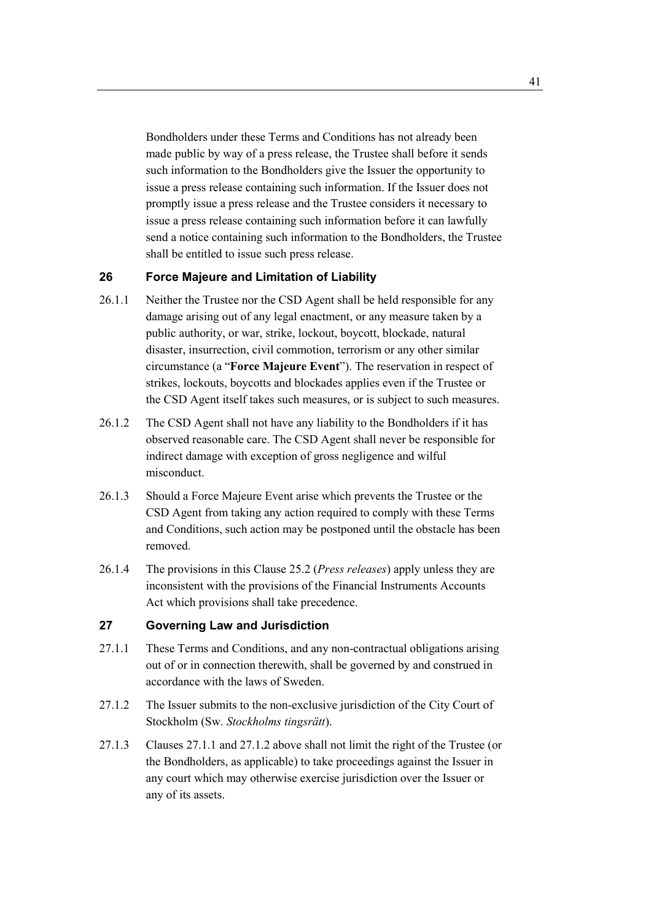Bondholders under these Terms and Conditions has not already been made public by way of a press release, the Trustee shall before it sends such information to the Bondholders give the Issuer the opportunity to issue a press release containing such information. If the Issuer does not promptly issue a press release and the Trustee considers it necessary to issue a press release containing such information before it can lawfully send a notice containing such information to the Bondholders, the Trustee shall be entitled to issue such press release.

## **26 Force Majeure and Limitation of Liability**

- 26.1.1 Neither the Trustee nor the CSD Agent shall be held responsible for any damage arising out of any legal enactment, or any measure taken by a public authority, or war, strike, lockout, boycott, blockade, natural disaster, insurrection, civil commotion, terrorism or any other similar circumstance (a "**Force Majeure Event**"). The reservation in respect of strikes, lockouts, boycotts and blockades applies even if the Trustee or the CSD Agent itself takes such measures, or is subject to such measures.
- 26.1.2 The CSD Agent shall not have any liability to the Bondholders if it has observed reasonable care. The CSD Agent shall never be responsible for indirect damage with exception of gross negligence and wilful misconduct.
- 26.1.3 Should a Force Majeure Event arise which prevents the Trustee or the CSD Agent from taking any action required to comply with these Terms and Conditions, such action may be postponed until the obstacle has been removed.
- 26.1.4 The provisions in this Clause 25.2 (*Press releases*) apply unless they are inconsistent with the provisions of the Financial Instruments Accounts Act which provisions shall take precedence.

## **27 Governing Law and Jurisdiction**

- 27.1.1 These Terms and Conditions, and any non-contractual obligations arising out of or in connection therewith, shall be governed by and construed in accordance with the laws of Sweden.
- 27.1.2 The Issuer submits to the non-exclusive jurisdiction of the City Court of Stockholm (Sw. *Stockholms tingsrätt*).
- 27.1.3 Clauses 27.1.1 and 27.1.2 above shall not limit the right of the Trustee (or the Bondholders, as applicable) to take proceedings against the Issuer in any court which may otherwise exercise jurisdiction over the Issuer or any of its assets.